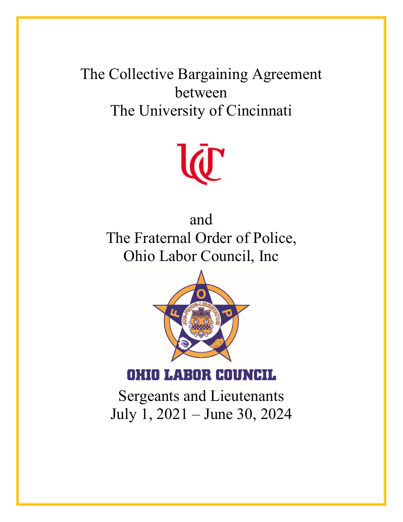The Collective Bargaining Agreement between The University of Cincinnati



and The Fraternal Order of Police, Ohio Labor Council, Inc



**OHIO LABOR COUNCIL** 

Sergeants and Lieutenants July 1, 2021 – June 30, 2024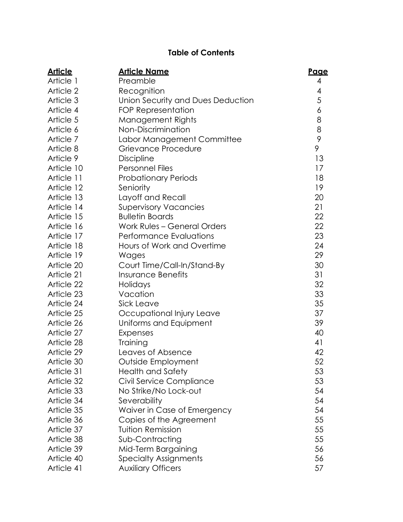# **Table of Contents**

| <u>Article</u> | <u> Article Name</u>              | Page             |
|----------------|-----------------------------------|------------------|
| Article 1      | Preamble                          | 4                |
| Article 2      | Recognition                       | 4                |
| Article 3      | Union Security and Dues Deduction | 5                |
| Article 4      | FOP Representation                | $\boldsymbol{6}$ |
| Article 5      | Management Rights                 | 8                |
| Article 6      | Non-Discrimination                | 8                |
| Article 7      | Labor Management Committee        | 9                |
| Article 8      | Grievance Procedure               | 9                |
| Article 9      | <b>Discipline</b>                 | 13               |
| Article 10     | <b>Personnel Files</b>            | 17               |
| Article 11     | <b>Probationary Periods</b>       | 18               |
| Article 12     | Seniority                         | 19               |
| Article 13     | Layoff and Recall                 | 20               |
| Article 14     | <b>Supervisory Vacancies</b>      | 21               |
| Article 15     | <b>Bulletin Boards</b>            | 22               |
| Article 16     | Work Rules - General Orders       | 22               |
| Article 17     | <b>Performance Evaluations</b>    | 23               |
| Article 18     | Hours of Work and Overtime        | 24               |
| Article 19     | Wages                             | 29               |
| Article 20     | Court Time/Call-In/Stand-By       | 30               |
| Article 21     | <b>Insurance Benefits</b>         | 31               |
| Article 22     | Holidays                          | 32               |
| Article 23     | Vacation                          | 33               |
| Article 24     | Sick Leave                        | 35               |
| Article 25     | Occupational Injury Leave         | 37               |
| Article 26     | Uniforms and Equipment            | 39               |
| Article 27     | Expenses                          | 40               |
| Article 28     | Training                          | 41               |
| Article 29     | Leaves of Absence                 | 42               |
| Article 30     | Outside Employment                | 52               |
| Article 31     | Health and Safety                 | 53               |
| Article 32     | Civil Service Compliance          | 53               |
| Article 33     | No Strike/No Lock-out             | 54               |
| Article 34     | Severability                      | 54               |
| Article 35     | Waiver in Case of Emergency       | 54               |
| Article 36     | Copies of the Agreement           | 55               |
| Article 37     | <b>Tuition Remission</b>          | 55               |
| Article 38     | Sub-Contracting                   | 55               |
| Article 39     | Mid-Term Bargaining               | 56               |
| Article 40     | <b>Specialty Assignments</b>      | 56               |
| Article 41     | <b>Auxiliary Officers</b>         | 57               |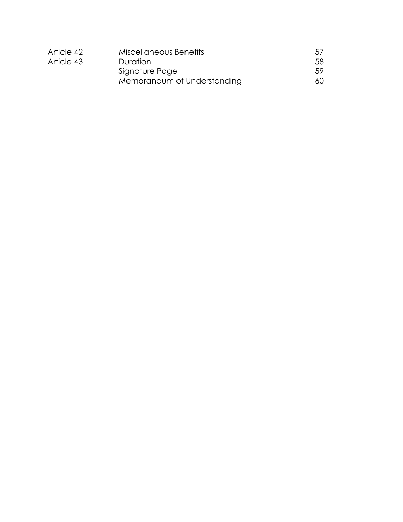| Article 42             | Miscellaneous Benefits      | 5/  |
|------------------------|-----------------------------|-----|
| Article 43<br>Duration |                             | 58  |
|                        | Signature Page              | .59 |
|                        | Memorandum of Understanding | 60  |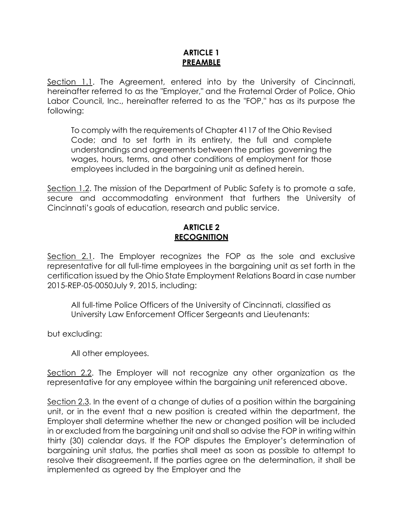# **ARTICLE 1 PREAMBLE**

Section 1.1. The Agreement, entered into by the University of Cincinnati, hereinafter referred to as the "Employer," and the Fraternal Order of Police, Ohio Labor Council, Inc., hereinafter referred to as the "FOP," has as its purpose the following:

To comply with the requirements of Chapter 4117 of the Ohio Revised Code; and to set forth in its entirety, the full and complete understandings and agreements between the parties governing the wages, hours, terms, and other conditions of employment for those employees included in the bargaining unit as defined herein.

Section 1.2. The mission of the Department of Public Safety is to promote a safe, secure and accommodating environment that furthers the University of Cincinnati's goals of education, research and public service.

## **ARTICLE 2 RECOGNITION**

Section 2.1. The Employer recognizes the FOP as the sole and exclusive representative for all full-time employees in the bargaining unit as set forth in the certification issued by the Ohio State Employment Relations Board in case number 2015-REP-05-0050July 9, 2015, including:

All full-time Police Officers of the University of Cincinnati, classified as University Law Enforcement Officer Sergeants and Lieutenants:

but excluding:

All other employees.

Section 2.2. The Employer will not recognize any other organization as the representative for any employee within the bargaining unit referenced above.

Section 2.3. In the event of a change of duties of a position within the bargaining unit, or in the event that a new position is created within the department, the Employer shall determine whether the new or changed position will be included in or excluded from the bargaining unit and shall so advise the FOP in writing within thirty (30) calendar days. If the FOP disputes the Employer's determination of bargaining unit status, the parties shall meet as soon as possible to attempt to resolve their disagreement**.** If the parties agree on the determination, it shall be implemented as agreed by the Employer and the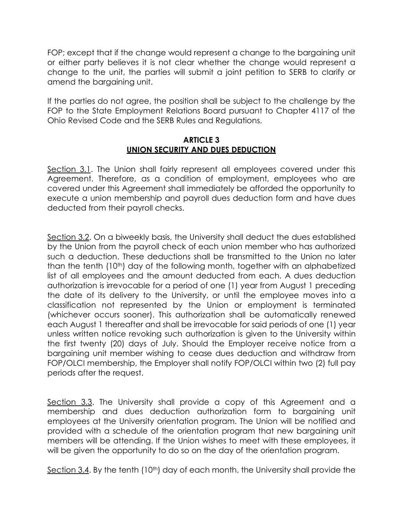FOP; except that if the change would represent a change to the bargaining unit or either party believes it is not clear whether the change would represent a change to the unit, the parties will submit a joint petition to SERB to clarify or amend the bargaining unit.

If the parties do not agree, the position shall be subject to the challenge by the FOP to the State Employment Relations Board pursuant to Chapter 4117 of the Ohio Revised Code and the SERB Rules and Regulations.

#### **ARTICLE 3 UNION SECURITY AND DUES DEDUCTION**

Section 3.1. The Union shall fairly represent all employees covered under this Agreement. Therefore, as a condition of employment, employees who are covered under this Agreement shall immediately be afforded the opportunity to execute a union membership and payroll dues deduction form and have dues deducted from their payroll checks.

Section 3.2. On a biweekly basis, the University shall deduct the dues established by the Union from the payroll check of each union member who has authorized such a deduction. These deductions shall be transmitted to the Union no later than the tenth (10th) day of the following month, together with an alphabetized list of all employees and the amount deducted from each. A dues deduction authorization is irrevocable for a period of one (1) year from August 1 preceding the date of its delivery to the University, or until the employee moves into a classification not represented by the Union or employment is terminated (whichever occurs sooner). This authorization shall be automatically renewed each August 1 thereafter and shall be irrevocable for said periods of one (1) year unless written notice revoking such authorization is given to the University within the first twenty (20) days of July. Should the Employer receive notice from a bargaining unit member wishing to cease dues deduction and withdraw from FOP/OLCI membership, the Employer shall notify FOP/OLCI within two (2) full pay periods after the request.

Section 3.3. The University shall provide a copy of this Agreement and a membership and dues deduction authorization form to bargaining unit employees at the University orientation program. The Union will be notified and provided with a schedule of the orientation program that new bargaining unit members will be attending. If the Union wishes to meet with these employees, it will be given the opportunity to do so on the day of the orientation program.

Section 3.4. By the tenth  $(10<sup>th</sup>)$  day of each month, the University shall provide the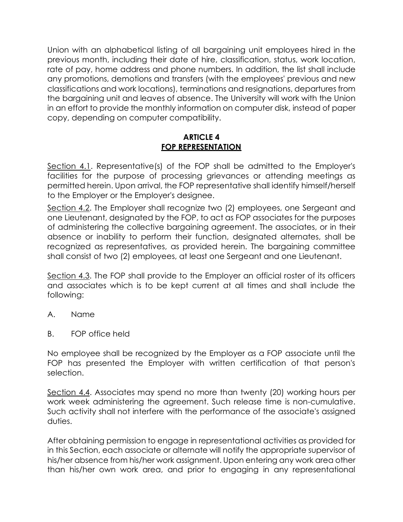Union with an alphabetical listing of all bargaining unit employees hired in the previous month, including their date of hire, classification, status, work location, rate of pay, home address and phone numbers. In addition, the list shall include any promotions, demotions and transfers (with the employees' previous and new classifications and work locations), terminations and resignations, departures from the bargaining unit and leaves of absence. The University will work with the Union in an effort to provide the monthly information on computer disk, instead of paper copy, depending on computer compatibility.

# **ARTICLE 4 FOP REPRESENTATION**

Section 4.1. Representative(s) of the FOP shall be admitted to the Employer's facilities for the purpose of processing grievances or attending meetings as permitted herein. Upon arrival, the FOP representative shall identify himself/herself to the Employer or the Employer's designee.

Section 4.2. The Employer shall recognize two (2) employees, one Sergeant and one Lieutenant, designated by the FOP, to act as FOP associates for the purposes of administering the collective bargaining agreement. The associates, or in their absence or inability to perform their function, designated alternates, shall be recognized as representatives, as provided herein. The bargaining committee shall consist of two (2) employees, at least one Sergeant and one Lieutenant.

Section 4.3. The FOP shall provide to the Employer an official roster of its officers and associates which is to be kept current at all times and shall include the following:

- A. Name
- B. FOP office held

No employee shall be recognized by the Employer as a FOP associate until the FOP has presented the Employer with written certification of that person's selection.

Section 4.4. Associates may spend no more than twenty (20) working hours per work week administering the agreement. Such release time is non-cumulative. Such activity shall not interfere with the performance of the associate's assigned duties.

After obtaining permission to engage in representational activities as provided for in this Section, each associate or alternate will notify the appropriate supervisor of his/her absence from his/her work assignment. Upon entering any work area other than his/her own work area, and prior to engaging in any representational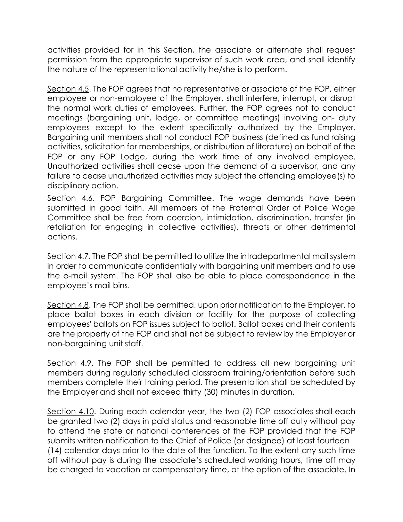activities provided for in this Section, the associate or alternate shall request permission from the appropriate supervisor of such work area, and shall identify the nature of the representational activity he/she is to perform.

Section 4.5. The FOP agrees that no representative or associate of the FOP, either employee or non-employee of the Employer, shall interfere, interrupt, or disrupt the normal work duties of employees. Further, the FOP agrees not to conduct meetings (bargaining unit, lodge, or committee meetings) involving on- duty employees except to the extent specifically authorized by the Employer. Bargaining unit members shall not conduct FOP business (defined as fund raising activities, solicitation for memberships, or distribution of literature) on behalf of the FOP or any FOP Lodge, during the work time of any involved employee. Unauthorized activities shall cease upon the demand of a supervisor, and any failure to cease unauthorized activities may subject the offending employee(s) to disciplinary action.

Section 4.6. FOP Bargaining Committee. The wage demands have been submitted in good faith. All members of the Fraternal Order of Police Wage Committee shall be free from coercion, intimidation, discrimination, transfer (in retaliation for engaging in collective activities), threats or other detrimental actions.

Section 4.7. The FOP shall be permitted to utilize the intradepartmental mail system in order to communicate confidentially with bargaining unit members and to use the e-mail system. The FOP shall also be able to place correspondence in the employee's mail bins.

Section 4.8. The FOP shall be permitted, upon prior notification to the Employer, to place ballot boxes in each division or facility for the purpose of collecting employees' ballots on FOP issues subject to ballot. Ballot boxes and their contents are the property of the FOP and shall not be subject to review by the Employer or non-bargaining unit staff.

Section 4.9. The FOP shall be permitted to address all new bargaining unit members during regularly scheduled classroom training/orientation before such members complete their training period. The presentation shall be scheduled by the Employer and shall not exceed thirty (30) minutes in duration.

Section 4.10. During each calendar year, the two (2) FOP associates shall each be granted two (2) days in paid status and reasonable time off duty without pay to attend the state or national conferences of the FOP provided that the FOP submits written notification to the Chief of Police (or designee) at least fourteen (14) calendar days prior to the date of the function. To the extent any such time off without pay is during the associate's scheduled working hours, time off may be charged to vacation or compensatory time, at the option of the associate. In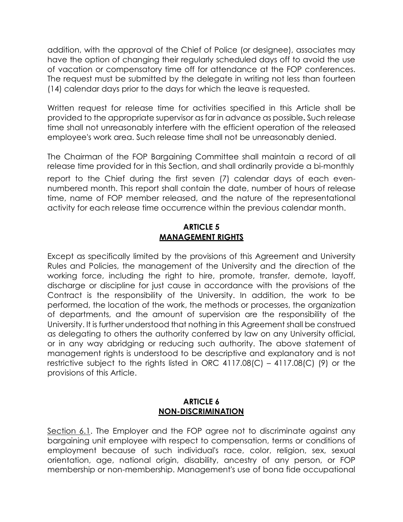addition, with the approval of the Chief of Police (or designee), associates may have the option of changing their regularly scheduled days off to avoid the use of vacation or compensatory time off for attendance at the FOP conferences. The request must be submitted by the delegate in writing not less than fourteen (14) calendar days prior to the days for which the leave is requested.

Written request for release time for activities specified in this Article shall be provided to the appropriate supervisor as far in advance as possible**.** Such release time shall not unreasonably interfere with the efficient operation of the released employee's work area. Such release time shall not be unreasonably denied.

The Chairman of the FOP Bargaining Committee shall maintain a record of all release time provided for in this Section, and shall ordinarily provide a bi-monthly report to the Chief during the first seven (7) calendar days of each evennumbered month. This report shall contain the date, number of hours of release time, name of FOP member released, and the nature of the representational activity for each release time occurrence within the previous calendar month.

## **ARTICLE 5 MANAGEMENT RIGHTS**

Except as specifically limited by the provisions of this Agreement and University Rules and Policies, the management of the University and the direction of the working force, including the right to hire, promote, transfer, demote, layoff, discharge or discipline for just cause in accordance with the provisions of the Contract is the responsibility of the University. In addition, the work to be performed, the location of the work, the methods or processes, the organization of departments, and the amount of supervision are the responsibility of the University. It is further understood that nothing in this Agreement shall be construed as delegating to others the authority conferred by law on any University official, or in any way abridging or reducing such authority. The above statement of management rights is understood to be descriptive and explanatory and is not restrictive subject to the rights listed in ORC 4117.08(C) – 4117.08(C) (9) or the provisions of this Article.

#### **ARTICLE 6 NON-DISCRIMINATION**

Section 6.1. The Employer and the FOP agree not to discriminate against any bargaining unit employee with respect to compensation, terms or conditions of employment because of such individual's race, color, religion, sex, sexual orientation, age, national origin, disability, ancestry of any person, or FOP membership or non-membership. Management's use of bona fide occupational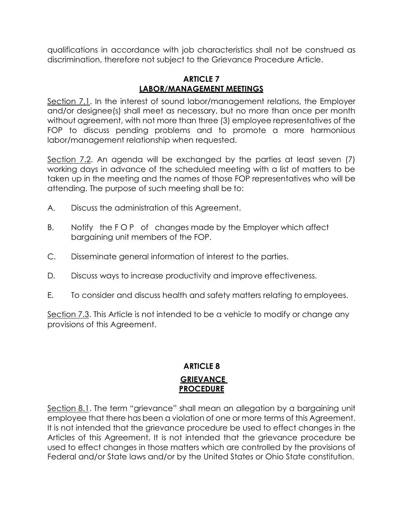qualifications in accordance with job characteristics shall not be construed as discrimination, therefore not subject to the Grievance Procedure Article.

#### **ARTICLE 7 LABOR/MANAGEMENT MEETINGS**

Section 7.1. In the interest of sound labor/management relations, the Employer and/or designee(s) shall meet as necessary, but no more than once per month without agreement, with not more than three (3) employee representatives of the FOP to discuss pending problems and to promote a more harmonious labor/management relationship when requested.

Section 7.2. An agenda will be exchanged by the parties at least seven (7) working days in advance of the scheduled meeting with a list of matters to be taken up in the meeting and the names of those FOP representatives who will be attending. The purpose of such meeting shall be to:

- A. Discuss the administration of this Agreement.
- B. Notify the FOP of changes made by the Employer which affect bargaining unit members of the FOP.
- C. Disseminate general information of interest to the parties.
- D. Discuss ways to increase productivity and improve effectiveness.
- E. To consider and discuss health and safety matters relating to employees.

Section 7.3. This Article is not intended to be a vehicle to modify or change any provisions of this Agreement.

# **ARTICLE 8 GRIEVANCE PROCEDURE**

Section 8.1. The term "grievance" shall mean an allegation by a bargaining unit employee that there has been a violation of one or more terms of this Agreement. It is not intended that the grievance procedure be used to effect changes in the Articles of this Agreement. It is not intended that the grievance procedure be used to effect changes in those matters which are controlled by the provisions of Federal and/or State laws and/or by the United States or Ohio State constitution.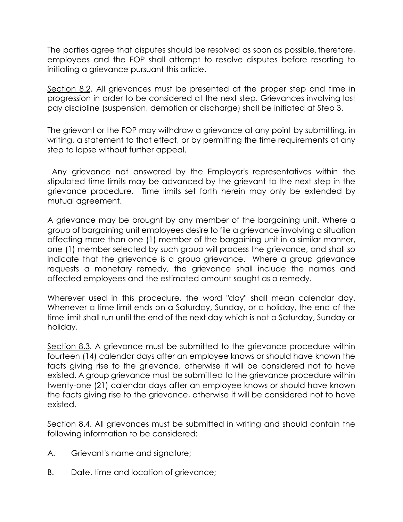The parties agree that disputes should be resolved as soon as possible, therefore, employees and the FOP shall attempt to resolve disputes before resorting to initiating a grievance pursuant this article.

Section 8.2. All grievances must be presented at the proper step and time in progression in order to be considered at the next step. Grievances involving lost pay discipline (suspension, demotion or discharge) shall be initiated at Step 3.

The grievant or the FOP may withdraw a grievance at any point by submitting, in writing, a statement to that effect, or by permitting the time requirements at any step to lapse without further appeal.

Any grievance not answered by the Employer's representatives within the stipulated time limits may be advanced by the grievant to the next step in the grievance procedure. Time limits set forth herein may only be extended by mutual agreement.

A grievance may be brought by any member of the bargaining unit. Where a group of bargaining unit employees desire to file a grievance involving a situation affecting more than one (1) member of the bargaining unit in a similar manner, one (1) member selected by such group will process the grievance, and shall so indicate that the grievance is a group grievance. Where a group grievance requests a monetary remedy, the grievance shall include the names and affected employees and the estimated amount sought as a remedy.

Wherever used in this procedure, the word "day" shall mean calendar day. Whenever a time limit ends on a Saturday, Sunday, or a holiday, the end of the time limit shall run until the end of the next day which is not a Saturday, Sunday or holiday.

Section 8.3. A grievance must be submitted to the grievance procedure within fourteen (14) calendar days after an employee knows or should have known the facts giving rise to the grievance, otherwise it will be considered not to have existed. A group grievance must be submitted to the grievance procedure within twenty-one (21) calendar days after an employee knows or should have known the facts giving rise to the grievance, otherwise it will be considered not to have existed.

Section 8.4. All grievances must be submitted in writing and should contain the following information to be considered:

- A. Grievant's name and signature;
- B. Date, time and location of grievance;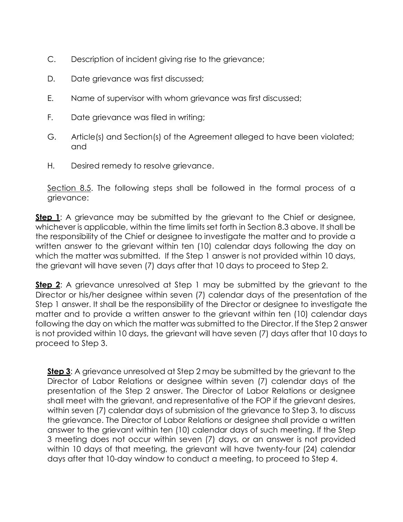- C. Description of incident giving rise to the grievance;
- D. Date grievance was first discussed;
- E. Name of supervisor with whom grievance was first discussed;
- F. Date grievance was filed in writing;
- G. Article(s) and Section(s) of the Agreement alleged to have been violated; and
- H. Desired remedy to resolve grievance.

Section 8.5. The following steps shall be followed in the formal process of a grievance:

**Step 1**: A grievance may be submitted by the grievant to the Chief or designee, whichever is applicable, within the time limits set forth in Section 8.3 above. It shall be the responsibility of the Chief or designee to investigate the matter and to provide a written answer to the grievant within ten (10) calendar days following the day on which the matter was submitted. If the Step 1 answer is not provided within 10 days, the grievant will have seven (7) days after that 10 days to proceed to Step 2.

**Step 2:** A grievance unresolved at Step 1 may be submitted by the grievant to the Director or his/her designee within seven (7) calendar days of the presentation of the Step 1 answer. It shall be the responsibility of the Director or designee to investigate the matter and to provide a written answer to the grievant within ten (10) calendar days following the day on which the matter was submitted to the Director. If the Step 2 answer is not provided within 10 days, the grievant will have seven (7) days after that 10 days to proceed to Step 3.

**Step 3:** A grievance unresolved at Step 2 may be submitted by the grievant to the Director of Labor Relations or designee within seven (7) calendar days of the presentation of the Step 2 answer. The Director of Labor Relations or designee shall meet with the grievant, and representative of the FOP if the grievant desires, within seven (7) calendar days of submission of the grievance to Step 3, to discuss the grievance. The Director of Labor Relations or designee shall provide a written answer to the grievant within ten (10) calendar days of such meeting. If the Step 3 meeting does not occur within seven (7) days, or an answer is not provided within 10 days of that meeting, the grievant will have twenty-four (24) calendar days after that 10-day window to conduct a meeting, to proceed to Step 4.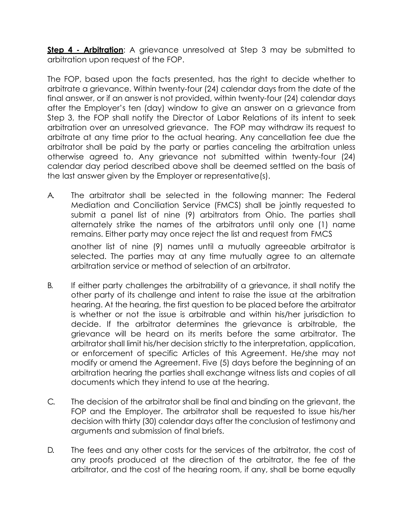**Step 4 - Arbitration**: A grievance unresolved at Step 3 may be submitted to arbitration upon request of the FOP.

The FOP, based upon the facts presented, has the right to decide whether to arbitrate a grievance. Within twenty-four (24) calendar days from the date of the final answer, or if an answer is not provided, within twenty-four (24) calendar days after the Employer's ten (day) window to give an answer on a grievance from Step 3, the FOP shall notify the Director of Labor Relations of its intent to seek arbitration over an unresolved grievance. The FOP may withdraw its request to arbitrate at any time prior to the actual hearing. Any cancellation fee due the arbitrator shall be paid by the party or parties canceling the arbitration unless otherwise agreed to. Any grievance not submitted within twenty-four (24) calendar day period described above shall be deemed settled on the basis of the last answer given by the Employer or representative(s).

A. The arbitrator shall be selected in the following manner: The Federal Mediation and Conciliation Service (FMCS) shall be jointly requested to submit a panel list of nine (9) arbitrators from Ohio. The parties shall alternately strike the names of the arbitrators until only one (1) name remains. Either party may once reject the list and request from FMCS

another list of nine (9) names until a mutually agreeable arbitrator is selected. The parties may at any time mutually agree to an alternate arbitration service or method of selection of an arbitrator.

- B. If either party challenges the arbitrability of a grievance, it shall notify the other party of its challenge and intent to raise the issue at the arbitration hearing. At the hearing, the first question to be placed before the arbitrator is whether or not the issue is arbitrable and within his/her jurisdiction to decide. If the arbitrator determines the grievance is arbitrable, the grievance will be heard on its merits before the same arbitrator. The arbitrator shall limit his/her decision strictly to the interpretation, application, or enforcement of specific Articles of this Agreement. He/she may not modify or amend the Agreement. Five (5) days before the beginning of an arbitration hearing the parties shall exchange witness lists and copies of all documents which they intend to use at the hearing.
- C. The decision of the arbitrator shall be final and binding on the grievant, the FOP and the Employer. The arbitrator shall be requested to issue his/her decision with thirty (30) calendar days after the conclusion of testimony and arguments and submission of final briefs.
- D. The fees and any other costs for the services of the arbitrator, the cost of any proofs produced at the direction of the arbitrator, the fee of the arbitrator, and the cost of the hearing room, if any, shall be borne equally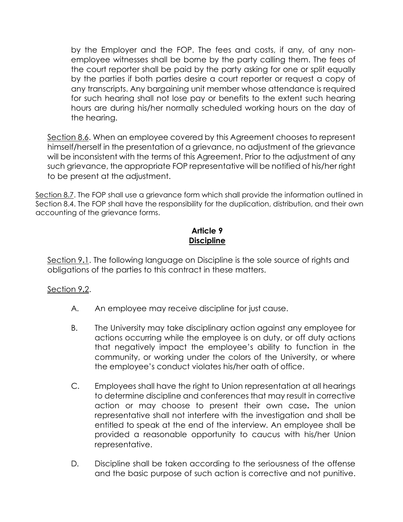by the Employer and the FOP. The fees and costs, if any, of any nonemployee witnesses shall be borne by the party calling them. The fees of the court reporter shall be paid by the party asking for one or split equally by the parties if both parties desire a court reporter or request a copy of any transcripts. Any bargaining unit member whose attendance is required for such hearing shall not lose pay or benefits to the extent such hearing hours are during his/her normally scheduled working hours on the day of the hearing.

Section 8.6. When an employee covered by this Agreement chooses to represent himself/herself in the presentation of a grievance, no adjustment of the grievance will be inconsistent with the terms of this Agreement. Prior to the adjustment of any such grievance, the appropriate FOP representative will be notified of his/her right to be present at the adjustment.

Section 8.7. The FOP shall use a grievance form which shall provide the information outlined in Section 8.4. The FOP shall have the responsibility for the duplication, distribution, and their own accounting of the grievance forms.

# **Article 9 Discipline**

Section 9**.**1. The following language on Discipline is the sole source of rights and obligations of the parties to this contract in these matters.

# Section 9**.**2.

- A. An employee may receive discipline for just cause.
- B. The University may take disciplinary action against any employee for actions occurring while the employee is on duty, or off duty actions that negatively impact the employee's ability to function in the community, or working under the colors of the University, or where the employee's conduct violates his/her oath of office.
- C. Employees shall have the right to Union representation at all hearings to determine discipline and conferences that may result in corrective action or may choose to present their own case**.** The union representative shall not interfere with the investigation and shall be entitled to speak at the end of the interview. An employee shall be provided a reasonable opportunity to caucus with his/her Union representative.
- D. Discipline shall be taken according to the seriousness of the offense and the basic purpose of such action is corrective and not punitive.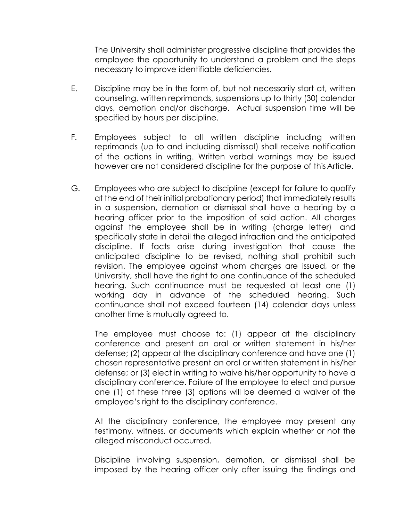The University shall administer progressive discipline that provides the employee the opportunity to understand a problem and the steps necessary to improve identifiable deficiencies.

- E. Discipline may be in the form of, but not necessarily start at, written counseling, written reprimands, suspensions up to thirty (30) calendar days, demotion and/or discharge. Actual suspension time will be specified by hours per discipline.
- F. Employees subject to all written discipline including written reprimands (up to and including dismissal) shall receive notification of the actions in writing. Written verbal warnings may be issued however are not considered discipline for the purpose of this Article.
- G. Employees who are subject to discipline (except for failure to qualify at the end of their initial probationary period) that immediately results in a suspension, demotion or dismissal shall have a hearing by a hearing officer prior to the imposition of said action. All charges against the employee shall be in writing (charge letter) and specifically state in detail the alleged infraction and the anticipated discipline. If facts arise during investigation that cause the anticipated discipline to be revised, nothing shall prohibit such revision. The employee against whom charges are issued, or the University, shall have the right to one continuance of the scheduled hearing. Such continuance must be requested at least one (1) working day in advance of the scheduled hearing. Such continuance shall not exceed fourteen (14) calendar days unless another time is mutually agreed to.

The employee must choose to: (1) appear at the disciplinary conference and present an oral or written statement in his/her defense; (2) appear at the disciplinary conference and have one (1) chosen representative present an oral or written statement in his/her defense; or (3) elect in writing to waive his/her opportunity to have a disciplinary conference. Failure of the employee to elect and pursue one (1) of these three (3) options will be deemed a waiver of the employee's right to the disciplinary conference.

At the disciplinary conference, the employee may present any testimony, witness, or documents which explain whether or not the alleged misconduct occurred.

Discipline involving suspension, demotion, or dismissal shall be imposed by the hearing officer only after issuing the findings and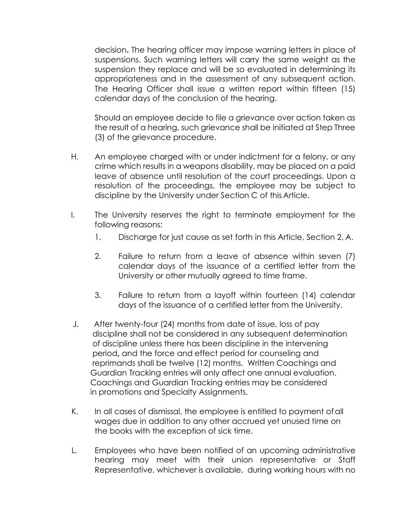decision**.** The hearing officer may impose warning letters in place of suspensions. Such warning letters will carry the same weight as the suspension they replace and will be so evaluated in determining its appropriateness and in the assessment of any subsequent action. The Hearing Officer shall issue a written report within fifteen (15) calendar days of the conclusion of the hearing.

Should an employee decide to file a grievance over action taken as the result of a hearing, such grievance shall be initiated at Step Three (3) of the grievance procedure.

- H. An employee charged with or under indictment for a felony, or any crime which results in a weapons disability, may be placed on a paid leave of absence until resolution of the court proceedings. Upon a resolution of the proceedings, the employee may be subject to discipline by the University under Section C of this Article.
- I. The University reserves the right to terminate employment for the following reasons:
	- 1. Discharge for just cause as set forth in this Article, Section 2, A.
	- 2. Failure to return from a leave of absence within seven (7) calendar days of the issuance of a certified letter from the University or other mutually agreed to time frame.
	- 3. Failure to return from a layoff within fourteen (14) calendar days of the issuance of a certified letter from the University.
- J. After twenty-four (24) months from date of issue, loss of pay discipline shall not be considered in any subsequent determination of discipline unless there has been discipline in the intervening period**,** and the force and effect period for counseling and reprimands shall be twelve (12) months.Written Coachings and Guardian Tracking entries will only affect one annual evaluation. Coachings and Guardian Tracking entries may be considered in promotions and Specialty Assignments.
- K. In all cases of dismissal, the employee is entitled to payment of all wages due in addition to any other accrued yet unused time on the books with the exception of sick time.
- L. Employees who have been notified of an upcoming administrative hearing may meet with their union representative or Staff Representative, whichever is available, during working hours with no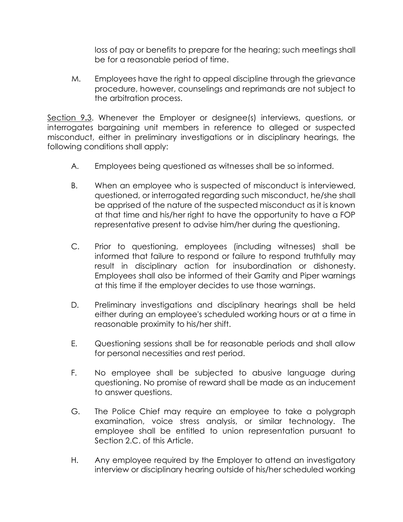loss of pay or benefits to prepare for the hearing; such meetings shall be for a reasonable period of time.

M. Employees have the right to appeal discipline through the grievance procedure, however, counselings and reprimands are not subject to the arbitration process.

Section 9**.**3. Whenever the Employer or designee(s) interviews, questions, or interrogates bargaining unit members in reference to alleged or suspected misconduct, either in preliminary investigations or in disciplinary hearings, the following conditions shall apply:

- A. Employees being questioned as witnesses shall be so informed.
- B. When an employee who is suspected of misconduct is interviewed, questioned, or interrogated regarding such misconduct, he/she shall be apprised of the nature of the suspected misconduct as it is known at that time and his/her right to have the opportunity to have a FOP representative present to advise him/her during the questioning.
- C. Prior to questioning, employees (including witnesses) shall be informed that failure to respond or failure to respond truthfully may result in disciplinary action for insubordination or dishonesty. Employees shall also be informed of their Garrity and Piper warnings at this time if the employer decides to use those warnings.
- D. Preliminary investigations and disciplinary hearings shall be held either during an employee's scheduled working hours or at a time in reasonable proximity to his/her shift.
- E. Questioning sessions shall be for reasonable periods and shall allow for personal necessities and rest period.
- F. No employee shall be subjected to abusive language during questioning. No promise of reward shall be made as an inducement to answer questions.
- G. The Police Chief may require an employee to take a polygraph examination, voice stress analysis, or similar technology. The employee shall be entitled to union representation pursuant to Section 2.C. of this Article.
- H. Any employee required by the Employer to attend an investigatory interview or disciplinary hearing outside of his/her scheduled working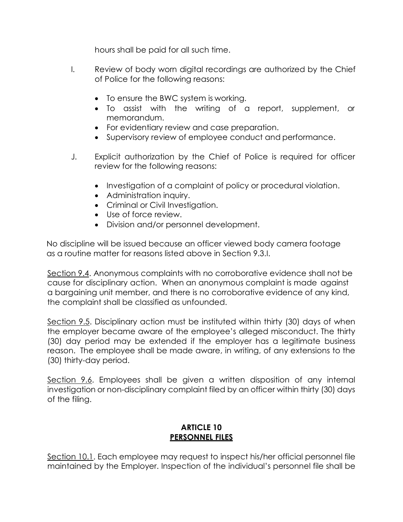hours shall be paid for all such time.

- I. Review of body worn digital recordings are authorized by the Chief of Police for the following reasons:
	- To ensure the BWC system is working.
	- To assist with the writing of a report, supplement, or memorandum.
	- For evidentiary review and case preparation.
	- Supervisory review of employee conduct and performance.
- J. Explicit authorization by the Chief of Police is required for officer review for the following reasons:
	- Investigation of a complaint of policy or procedural violation.
	- Administration inquiry.
	- Criminal or Civil Investigation.
	- Use of force review.
	- Division and/or personnel development.

 No discipline will be issued because an officer viewed body camera footage as a routine matter for reasons listed above in Section 9.3.I.

Section 9.4. Anonymous complaints with no corroborative evidence shall not be cause for disciplinary action. When an anonymous complaint is made against a bargaining unit member, and there is no corroborative evidence of any kind, the complaint shall be classified as unfounded.

Section 9.5. Disciplinary action must be instituted within thirty (30) days of when the employer became aware of the employee's alleged misconduct. The thirty (30) day period may be extended if the employer has a legitimate business reason. The employee shall be made aware, in writing, of any extensions to the (30) thirty-day period.

Section 9.6. Employees shall be given a written disposition of any internal investigation or non-disciplinary complaint filed by an officer within thirty (30) days of the filing.

# **ARTICLE 10 PERSONNEL FILES**

Section 10.1. Each employee may request to inspect his/her official personnel file maintained by the Employer. Inspection of the individual's personnel file shall be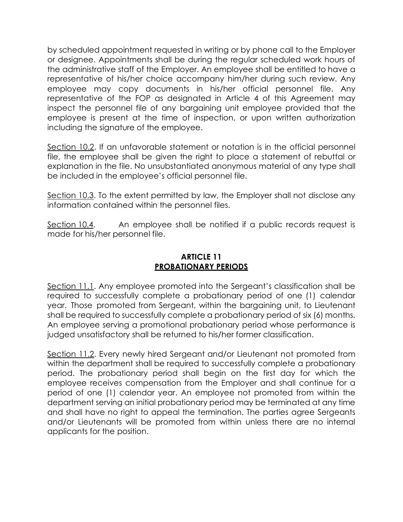by scheduled appointment requested in writing or by phone call to the Employer or designee. Appointments shall be during the regular scheduled work hours of the administrative staff of the Employer. An employee shall be entitled to have a representative of his/her choice accompany him/her during such review. Any employee may copy documents in his/her official personnel file. Any representative of the FOP as designated in Article 4 of this Agreement may inspect the personnel file of any bargaining unit employee provided that the employee is present at the time of inspection, or upon written authorization including the signature of the employee.

Section 10.2. If an unfavorable statement or notation is in the official personnel file, the employee shall be given the right to place a statement of rebuttal or explanation in the file. No unsubstantiated anonymous material of any type shall be included in the employee's official personnel file.

Section 10.3. To the extent permitted by law, the Employer shall not disclose any information contained within the personnel files.

Section 10.4. An employee shall be notified if a public records request is made for his/her personnel file.

# **ARTICLE 11 PROBATIONARY PERIODS**

Section 11.1. Any employee promoted into the Sergeant's classification shall be required to successfully complete a probationary period of one (1) calendar year. Those promoted from Sergeant, within the bargaining unit, to Lieutenant shall be required to successfully complete a probationary period of six (6) months. An employee serving a promotional probationary period whose performance is judged unsatisfactory shall be returned to his/her former classification.

Section 11.2. Every newly hired Sergeant and/or Lieutenant not promoted from within the department shall be required to successfully complete a probationary period. The probationary period shall begin on the first day for which the employee receives compensation from the Employer and shall continue for a period of one (1) calendar year. An employee not promoted from within the department serving an initial probationary period may be terminated at any time and shall have no right to appeal the termination. The parties agree Sergeants and/or Lieutenants will be promoted from within unless there are no internal applicants for the position.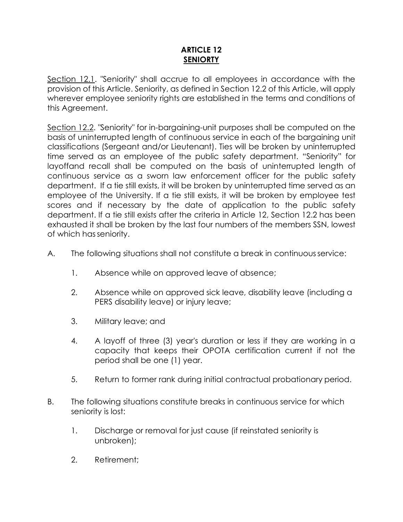# **ARTICLE 12 SENIORTY**

Section 12.1. "Seniority" shall accrue to all employees in accordance with the provision of this Article. Seniority, as defined in Section 12.2 of this Article, will apply wherever employee seniority rights are established in the terms and conditions of this Agreement.

Section 12.2. "Seniority" for in-bargaining-unit purposes shall be computed on the basis of uninterrupted length of continuous service in each of the bargaining unit classifications (Sergeant and/or Lieutenant). Ties will be broken by uninterrupted time served as an employee of the public safety department. "Seniority" for layoffand recall shall be computed on the basis of uninterrupted length of continuous service as a sworn law enforcement officer for the public safety department. If a tie still exists, it will be broken by uninterrupted time served as an employee of the University. If a tie still exists, it will be broken by employee test scores and if necessary by the date of application to the public safety department. If a tie still exists after the criteria in Article 12, Section 12.2 has been exhausted it shall be broken by the last four numbers of the members SSN, lowest of which hasseniority.

- A. The following situations shall not constitute a break in continuousservice:
	- 1. Absence while on approved leave of absence;
	- 2. Absence while on approved sick leave, disability leave (including a PERS disability leave) or injury leave;
	- 3. Military leave; and
	- 4. A layoff of three (3) year's duration or less if they are working in a capacity that keeps their OPOTA certification current if not the period shall be one (1) year.
	- 5. Return to former rank during initial contractual probationary period.
- B. The following situations constitute breaks in continuous service for which seniority is lost:
	- 1. Discharge or removal for just cause (if reinstated seniority is unbroken);
	- 2. Retirement;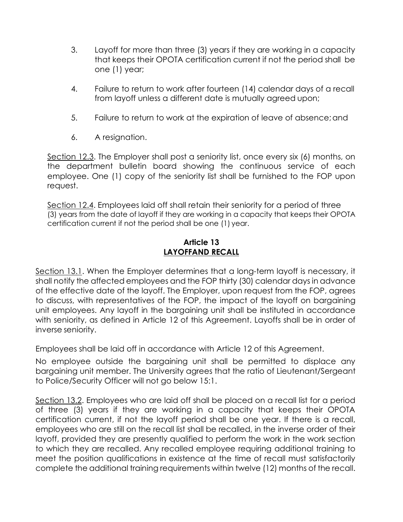- 3. Layoff for more than three (3) years if they are working in a capacity that keeps their OPOTA certification current if not the period shall be one (1) year;
- 4. Failure to return to work after fourteen (14) calendar days of a recall from layoff unless a different date is mutually agreed upon;
- 5. Failure to return to work at the expiration of leave of absence;and
- 6. A resignation.

Section 12.3. The Employer shall post a seniority list, once every six (6) months, on the department bulletin board showing the continuous service of each employee. One (1) copy of the seniority list shall be furnished to the FOP upon request.

Section 12.4. Employees laid off shall retain their seniority for a period of three (3) years from the date of layoff if they are working in a capacity that keeps their OPOTA certification current if not the period shall be one (1) year.

# **Article 13 LAYOFFAND RECALL**

Section 13.1. When the Employer determines that a long-term layoff is necessary, it shall notify the affected employees and the FOP thirty (30) calendar days in advance of the effective date of the layoff. The Employer, upon request from the FOP, agrees to discuss, with representatives of the FOP, the impact of the layoff on bargaining unit employees. Any layoff in the bargaining unit shall be instituted in accordance with seniority, as defined in Article 12 of this Agreement. Layoffs shall be in order of inverse seniority.

Employees shall be laid off in accordance with Article 12 of this Agreement.

No employee outside the bargaining unit shall be permitted to displace any bargaining unit member. The University agrees that the ratio of Lieutenant/Sergeant to Police/Security Officer will not go below 15:1.

Section 13.2. Employees who are laid off shall be placed on a recall list for a period of three (3) years if they are working in a capacity that keeps their OPOTA certification current, if not the layoff period shall be one year. If there is a recall, employees who are still on the recall list shall be recalled, in the inverse order of their layoff, provided they are presently qualified to perform the work in the work section to which they are recalled. Any recalled employee requiring additional training to meet the position qualifications in existence at the time of recall must satisfactorily complete the additional training requirements within twelve (12) months of the recall.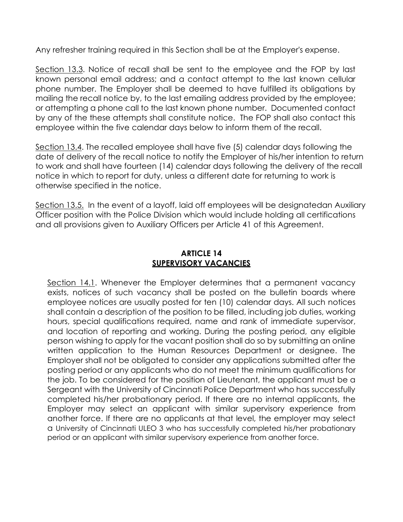Any refresher training required in this Section shall be at the Employer's expense.

Section 13.3. Notice of recall shall be sent to the employee and the FOP by last known personal email address; and a contact attempt to the last known cellular phone number. The Employer shall be deemed to have fulfilled its obligations by mailing the recall notice by, to the last emailing address provided by the employee; or attempting a phone call to the last known phone number. Documented contact by any of the these attempts shall constitute notice. The FOP shall also contact this employee within the five calendar days below to inform them of the recall.

Section 13.4. The recalled employee shall have five (5) calendar days following the date of delivery of the recall notice to notify the Employer of his/her intention to return to work and shall have fourteen (14) calendar days following the delivery of the recall notice in which to report for duty, unless a different date for returning to work is otherwise specified in the notice.

Section 13.5. In the event of a layoff, laid off employees will be designatedan Auxiliary Officer position with the Police Division which would include holding all certifications and all provisions given to Auxiliary Officers per Article 41 of this Agreement.

# **ARTICLE 14 SUPERVISORY VACANCIES**

Section 14.1. Whenever the Employer determines that a permanent vacancy exists, notices of such vacancy shall be posted on the bulletin boards where employee notices are usually posted for ten (10) calendar days. All such notices shall contain a description of the position to be filled, including job duties, working hours, special qualifications required, name and rank of immediate supervisor, and location of reporting and working. During the posting period, any eligible person wishing to apply for the vacant position shall do so by submitting an online written application to the Human Resources Department or designee. The Employer shall not be obligated to consider any applications submitted after the posting period or any applicants who do not meet the minimum qualifications for the job. To be considered for the position of Lieutenant, the applicant must be a Sergeant with the University of Cincinnati Police Department who has successfully completed his/her probationary period. If there are no internal applicants, the Employer may select an applicant with similar supervisory experience from another force. If there are no applicants at that level, the employer may select a University of Cincinnati ULEO 3 who has successfully completed his/her probationary period or an applicant with similar supervisory experience from another force.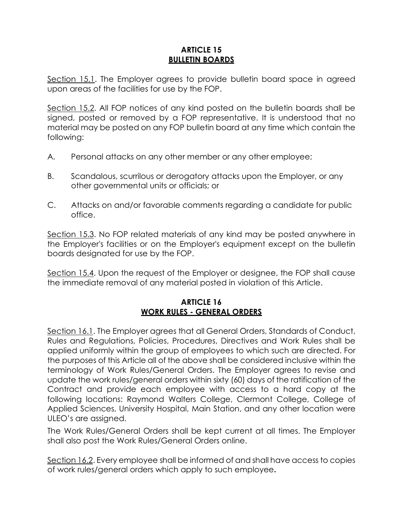# **ARTICLE 15 BULLETIN BOARDS**

Section 15.1. The Employer agrees to provide bulletin board space in agreed upon areas of the facilities for use by the FOP.

Section 15.2. All FOP notices of any kind posted on the bulletin boards shall be signed, posted or removed by a FOP representative. It is understood that no material may be posted on any FOP bulletin board at any time which contain the following:

- A. Personal attacks on any other member or any other employee;
- B. Scandalous, scurrilous or derogatory attacks upon the Employer, or any other governmental units or officials; or
- C. Attacks on and/or favorable comments regarding a candidate for public office.

Section 15.3. No FOP related materials of any kind may be posted anywhere in the Employer's facilities or on the Employer's equipment except on the bulletin boards designated for use by the FOP.

Section 15.4. Upon the request of the Employer or designee, the FOP shall cause the immediate removal of any material posted in violation of this Article.

# **ARTICLE 16 WORK RULES - GENERAL ORDERS**

Section 16.1. The Employer agrees that all General Orders, Standards of Conduct, Rules and Regulations, Policies, Procedures, Directives and Work Rules shall be applied uniformly within the group of employees to which such are directed. For the purposes of this Article all of the above shall be considered inclusive within the terminology of Work Rules/General Orders. The Employer agrees to revise and update the work rules/general orders within sixty (60) days of the ratification of the Contract and provide each employee with access to a hard copy at the following locations: Raymond Walters College, Clermont College, College of Applied Sciences, University Hospital, Main Station, and any other location were ULEO's are assigned.

The Work Rules/General Orders shall be kept current at all times. The Employer shall also post the Work Rules/General Orders online.

Section 16.2. Every employee shall be informed of and shall have access to copies of work rules/general orders which apply to such employee**.**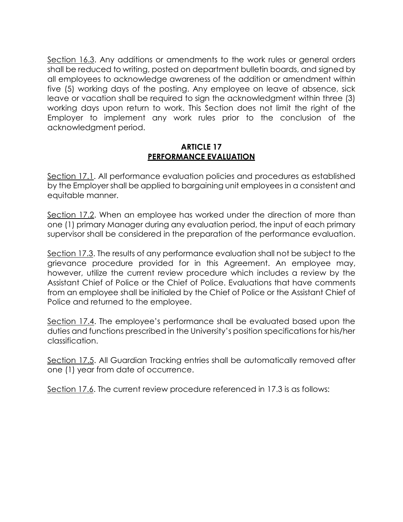Section 16.3. Any additions or amendments to the work rules or general orders shall be reduced to writing, posted on department bulletin boards, and signed by all employees to acknowledge awareness of the addition or amendment within five (5) working days of the posting. Any employee on leave of absence, sick leave or vacation shall be required to sign the acknowledgment within three (3) working days upon return to work. This Section does not limit the right of the Employer to implement any work rules prior to the conclusion of the acknowledgment period.

#### **ARTICLE 17 PERFORMANCE EVALUATION**

Section 17.1. All performance evaluation policies and procedures as established by the Employer shall be applied to bargaining unit employees in a consistent and equitable manner.

Section 17.2. When an employee has worked under the direction of more than one (1) primary Manager during any evaluation period, the input of each primary supervisor shall be considered in the preparation of the performance evaluation.

Section 17.3. The results of any performance evaluation shall not be subject to the grievance procedure provided for in this Agreement. An employee may, however, utilize the current review procedure which includes a review by the Assistant Chief of Police or the Chief of Police. Evaluations that have comments from an employee shall be initialed by the Chief of Police or the Assistant Chief of Police and returned to the employee.

Section 17.4. The employee's performance shall be evaluated based upon the duties and functions prescribed in the University's position specifications for his/her classification.

Section 17.5. All Guardian Tracking entries shall be automatically removed after one (1) year from date of occurrence.

Section 17.6. The current review procedure referenced in 17.3 is as follows: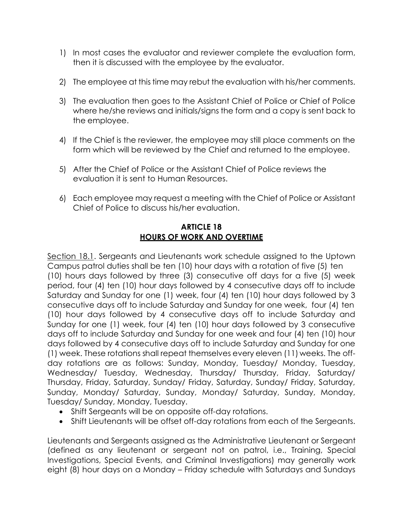- 1) In most cases the evaluator and reviewer complete the evaluation form, then it is discussed with the employee by the evaluator.
- 2) The employee at this time may rebut the evaluation with his/her comments.
- 3) The evaluation then goes to the Assistant Chief of Police or Chief of Police where he/she reviews and initials/signs the form and a copy is sent back to the employee.
- 4) If the Chief is the reviewer, the employee may still place comments on the form which will be reviewed by the Chief and returned to the employee.
- 5) After the Chief of Police or the Assistant Chief of Police reviews the evaluation it is sent to Human Resources.
- 6) Each employee may request a meeting with the Chief of Police or Assistant Chief of Police to discuss his/her evaluation.

# **ARTICLE 18 HOURS OF WORK AND OVERTIME**

Section 18.1. Sergeants and Lieutenants work schedule assigned to the Uptown Campus patrol duties shall be ten (10) hour days with a rotation of five (5) ten (10) hours days followed by three (3) consecutive off days for a five (5) week period, four (4) ten (10) hour days followed by 4 consecutive days off to include Saturday and Sunday for one (1) week, four (4) ten (10) hour days followed by 3 consecutive days off to include Saturday and Sunday for one week, four (4) ten (10) hour days followed by 4 consecutive days off to include Saturday and Sunday for one (1) week, four (4) ten (10) hour days followed by 3 consecutive days off to include Saturday and Sunday for one week and four (4) ten (10) hour days followed by 4 consecutive days off to include Saturday and Sunday for one (1) week. These rotations shall repeat themselves every eleven (11) weeks. The offday rotations are as follows: Sunday, Monday, Tuesday/ Monday, Tuesday, Wednesday/ Tuesday, Wednesday, Thursday/ Thursday, Friday, Saturday/ Thursday, Friday, Saturday, Sunday/ Friday, Saturday, Sunday/ Friday, Saturday, Sunday, Monday/ Saturday, Sunday, Monday/ Saturday, Sunday, Monday, Tuesday/ Sunday, Monday, Tuesday.

- Shift Sergeants will be on opposite off-day rotations.
- Shift Lieutenants will be offset off-day rotations from each of the Sergeants.

Lieutenants and Sergeants assigned as the Administrative Lieutenant or Sergeant (defined as any lieutenant or sergeant not on patrol, i.e., Training, Special Investigations, Special Events, and Criminal Investigations) may generally work eight (8) hour days on a Monday – Friday schedule with Saturdays and Sundays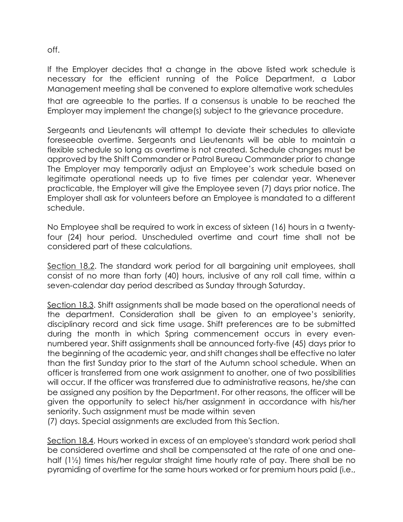off.

If the Employer decides that a change in the above listed work schedule is necessary for the efficient running of the Police Department, a Labor Management meeting shall be convened to explore alternative work schedules that are agreeable to the parties. If a consensus is unable to be reached the Employer may implement the change(s) subject to the grievance procedure.

Sergeants and Lieutenants will attempt to deviate their schedules to alleviate foreseeable overtime. Sergeants and Lieutenants will be able to maintain a flexible schedule so long as overtime is not created. Schedule changes must be approved by the Shift Commander or Patrol Bureau Commander prior to change The Employer may temporarily adjust an Employee's work schedule based on legitimate operational needs up to five times per calendar year. Whenever practicable, the Employer will give the Employee seven (7) days prior notice. The Employer shall ask for volunteers before an Employee is mandated to a different schedule.

No Employee shall be required to work in excess of sixteen (16) hours in a twentyfour (24) hour period. Unscheduled overtime and court time shall not be considered part of these calculations.

Section 18.2. The standard work period for all bargaining unit employees, shall consist of no more than forty (40) hours, inclusive of any roll call time, within a seven-calendar day period described as Sunday through Saturday.

Section 18.3. Shift assignments shall be made based on the operational needs of the department. Consideration shall be given to an employee's seniority, disciplinary record and sick time usage. Shift preferences are to be submitted during the month in which Spring commencement occurs in every evennumbered year. Shift assignments shall be announced forty-five (45) days prior to the beginning of the academic year, and shift changes shall be effective no later than the first Sunday prior to the start of the Autumn school schedule. When an officer is transferred from one work assignment to another, one of two possibilities will occur. If the officer was transferred due to administrative reasons, he/she can be assigned any position by the Department. For other reasons, the officer will be given the opportunity to select his/her assignment in accordance with his/her seniority. Such assignment must be made within seven

(7) days. Special assignments are excluded from this Section.

Section 18.4. Hours worked in excess of an employee's standard work period shall be considered overtime and shall be compensated at the rate of one and onehalf (1½) times his/her regular straight time hourly rate of pay. There shall be no pyramiding of overtime for the same hours worked or for premium hours paid (i.e.,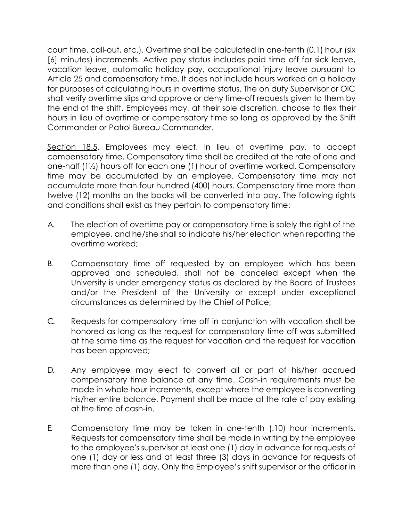court time, call-out, etc.). Overtime shall be calculated in one-tenth (0.1) hour (six [6] minutes) increments. Active pay status includes paid time off for sick leave, vacation leave, automatic holiday pay, occupational injury leave pursuant to Article 25 and compensatory time. It does not include hours worked on a holiday for purposes of calculating hours in overtime status. The on duty Supervisor or OIC shall verify overtime slips and approve or deny time-off requests given to them by the end of the shift. Employees may, at their sole discretion, choose to flex their hours in lieu of overtime or compensatory time so long as approved by the Shift Commander or Patrol Bureau Commander.

Section 18.5. Employees may elect, in lieu of overtime pay, to accept compensatory time. Compensatory time shall be credited at the rate of one and one-half (1½) hours off for each one (1) hour of overtime worked. Compensatory time may be accumulated by an employee. Compensatory time may not accumulate more than four hundred (400) hours. Compensatory time more than twelve (12) months on the books will be converted into pay. The following rights and conditions shall exist as they pertain to compensatory time:

- A. The election of overtime pay or compensatory time is solely the right of the employee, and he/she shall so indicate his/her election when reporting the overtime worked;
- B. Compensatory time off requested by an employee which has been approved and scheduled, shall not be canceled except when the University is under emergency status as declared by the Board of Trustees and/or the President of the University or except under exceptional circumstances as determined by the Chief of Police;
- C. Requests for compensatory time off in conjunction with vacation shall be honored as long as the request for compensatory time off was submitted at the same time as the request for vacation and the request for vacation has been approved;
- D. Any employee may elect to convert all or part of his/her accrued compensatory time balance at any time. Cash-in requirements must be made in whole hour increments, except where the employee is converting his/her entire balance. Payment shall be made at the rate of pay existing at the time of cash-in.
- E. Compensatory time may be taken in one-tenth (.10) hour increments. Requests for compensatory time shall be made in writing by the employee to the employee's supervisor at least one (1) day in advance for requests of one (1) day or less and at least three (3) days in advance for requests of more than one (1) day. Only the Employee's shift supervisor or the officer in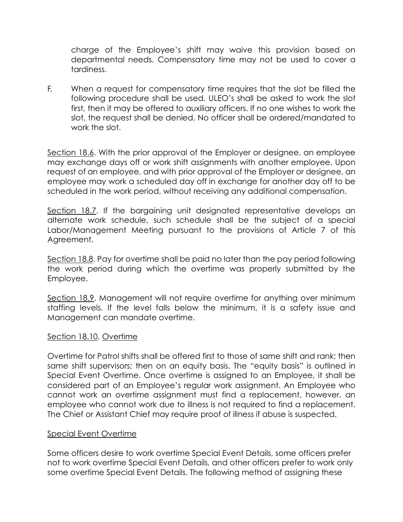charge of the Employee's shift may waive this provision based on departmental needs. Compensatory time may not be used to cover a tardiness.

F. When a request for compensatory time requires that the slot be filled the following procedure shall be used. ULEO's shall be asked to work the slot first, then it may be offered to auxiliary officers. If no one wishes to work the slot, the request shall be denied. No officer shall be ordered/mandated to work the slot.

Section 18.6. With the prior approval of the Employer or designee, an employee may exchange days off or work shift assignments with another employee. Upon request of an employee, and with prior approval of the Employer or designee, an employee may work a scheduled day off in exchange for another day off to be scheduled in the work period, without receiving any additional compensation.

Section 18.7. If the bargaining unit designated representative develops an alternate work schedule, such schedule shall be the subject of a special Labor/Management Meeting pursuant to the provisions of Article 7 of this Agreement.

Section 18.8. Pay for overtime shall be paid no later than the pay period following the work period during which the overtime was properly submitted by the Employee.

Section 18.9. Management will not require overtime for anything over minimum staffing levels. If the level falls below the minimum, it is a safety issue and Management can mandate overtime.

# Section 18.10. Overtime

Overtime for Patrol shifts shall be offered first to those of same shift and rank; then same shift supervisors; then on an equity basis. The "equity basis" is outlined in Special Event Overtime. Once overtime is assigned to an Employee, it shall be considered part of an Employee's regular work assignment. An Employee who cannot work an overtime assignment must find a replacement, however, an employee who cannot work due to illness is not required to find a replacement. The Chief or Assistant Chief may require proof of illness if abuse is suspected.

#### Special Event Overtime

Some officers desire to work overtime Special Event Details, some officers prefer not to work overtime Special Event Details, and other officers prefer to work only some overtime Special Event Details. The following method of assigning these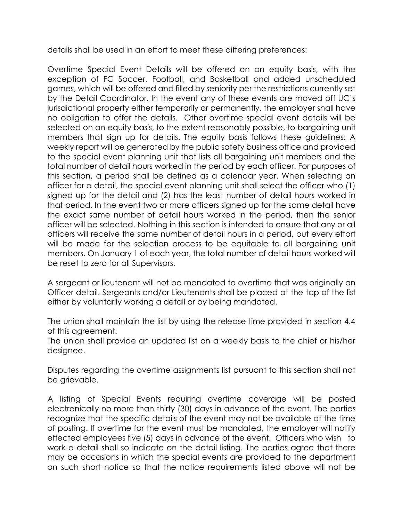details shall be used in an effort to meet these differing preferences:

Overtime Special Event Details will be offered on an equity basis, with the exception of FC Soccer, Football, and Basketball and added unscheduled games, which will be offered and filled by seniority per the restrictions currently set by the Detail Coordinator. In the event any of these events are moved off UC's jurisdictional property either temporarily or permanently, the employer shall have no obligation to offer the details. Other overtime special event details will be selected on an equity basis, to the extent reasonably possible, to bargaining unit members that sign up for details. The equity basis follows these guidelines: A weekly report will be generated by the public safety business office and provided to the special event planning unit that lists all bargaining unit members and the total number of detail hours worked in the period by each officer. For purposes of this section, a period shall be defined as a calendar year. When selecting an officer for a detail, the special event planning unit shall select the officer who (1) signed up for the detail and (2) has the least number of detail hours worked in that period. In the event two or more officers signed up for the same detail have the exact same number of detail hours worked in the period, then the senior officer will be selected. Nothing in this section is intended to ensure that any or all officers will receive the same number of detail hours in a period, but every effort will be made for the selection process to be equitable to all bargaining unit members. On January 1 of each year, the total number of detail hours worked will be reset to zero for all Supervisors.

A sergeant or lieutenant will not be mandated to overtime that was originally an Officer detail. Sergeants and/or Lieutenants shall be placed at the top of the list either by voluntarily working a detail or by being mandated.

The union shall maintain the list by using the release time provided in section 4.4 of this agreement.

The union shall provide an updated list on a weekly basis to the chief or his/her designee.

Disputes regarding the overtime assignments list pursuant to this section shall not be grievable.

A listing of Special Events requiring overtime coverage will be posted electronically no more than thirty (30) days in advance of the event. The parties recognize that the specific details of the event may not be available at the time of posting. If overtime for the event must be mandated, the employer will notify effected employees five (5) days in advance of the event. Officers who wish to work a detail shall so indicate on the detail listing. The parties agree that there may be occasions in which the special events are provided to the department on such short notice so that the notice requirements listed above will not be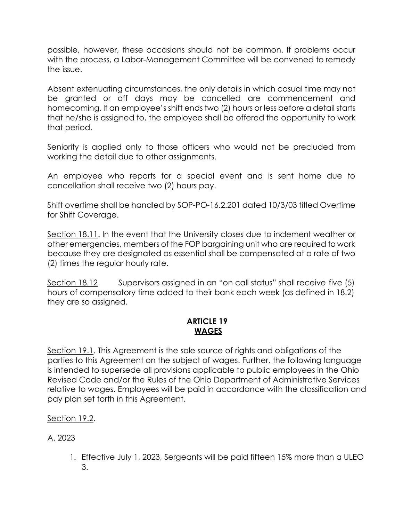possible, however, these occasions should not be common. If problems occur with the process, a Labor-Management Committee will be convened to remedy the issue.

Absent extenuating circumstances, the only details in which casual time may not be granted or off days may be cancelled are commencement and homecoming. If an employee's shift ends two (2) hours or less before a detail starts that he/she is assigned to, the employee shall be offered the opportunity to work that period.

Seniority is applied only to those officers who would not be precluded from working the detail due to other assignments.

An employee who reports for a special event and is sent home due to cancellation shall receive two (2) hours pay.

Shift overtime shall be handled by SOP-PO-16.2.201 dated 10/3/03 titled Overtime for Shift Coverage.

Section 18.11. In the event that the University closes due to inclement weather or other emergencies, members of the FOP bargaining unit who are required to work because they are designated as essential shall be compensated at a rate of two (2) times the regular hourly rate.

Section 18.12 Supervisors assigned in an "on call status" shall receive five (5) hours of compensatory time added to their bank each week (as defined in 18.2) they are so assigned.

# **ARTICLE 19 WAGES**

Section 19.1. This Agreement is the sole source of rights and obligations of the parties to this Agreement on the subject of wages. Further, the following language is intended to supersede all provisions applicable to public employees in the Ohio Revised Code and/or the Rules of the Ohio Department of Administrative Services relative to wages. Employees will be paid in accordance with the classification and pay plan set forth in this Agreement.

Section 19.2.

A. 2023

1. Effective July 1, 2023, Sergeants will be paid fifteen 15% more than a ULEO 3.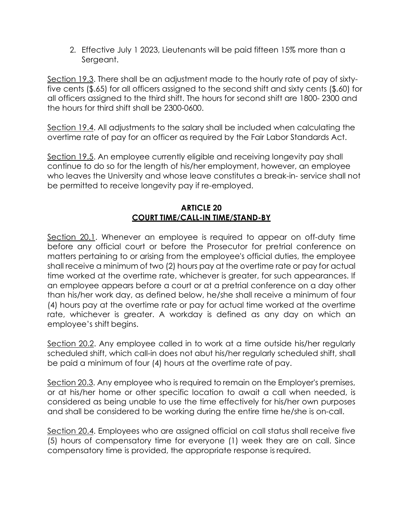2. Effective July 1 2023, Lieutenants will be paid fifteen 15% more than a Sergeant.

Section 19.3. There shall be an adjustment made to the hourly rate of pay of sixtyfive cents (\$.65) for all officers assigned to the second shift and sixty cents (\$.60) for all officers assigned to the third shift. The hours for second shift are 1800- 2300 and the hours for third shift shall be 2300-0600.

Section 19.4. All adjustments to the salary shall be included when calculating the overtime rate of pay for an officer as required by the Fair Labor Standards Act.

Section 19.5. An employee currently eligible and receiving longevity pay shall continue to do so for the length of his/her employment, however, an employee who leaves the University and whose leave constitutes a break-in- service shall not be permitted to receive longevity pay if re-employed.

# **ARTICLE 20 COURT TIME/CALL-IN TIME/STAND-BY**

Section 20.1. Whenever an employee is required to appear on off-duty time before any official court or before the Prosecutor for pretrial conference on matters pertaining to or arising from the employee's official duties, the employee shall receive a minimum of two (2) hours pay at the overtime rate or pay for actual time worked at the overtime rate, whichever is greater, for such appearances. If an employee appears before a court or at a pretrial conference on a day other than his/her work day, as defined below, he/she shall receive a minimum of four (4) hours pay at the overtime rate or pay for actual time worked at the overtime rate, whichever is greater. A workday is defined as any day on which an employee's shift begins.

Section 20.2. Any employee called in to work at a time outside his/her regularly scheduled shift, which call-in does not abut his/her regularly scheduled shift, shall be paid a minimum of four (4) hours at the overtime rate of pay.

Section 20.3. Any employee who is required to remain on the Employer's premises, or at his/her home or other specific location to await a call when needed, is considered as being unable to use the time effectively for his/her own purposes and shall be considered to be working during the entire time he/she is on-call.

Section 20.4. Employees who are assigned official on call status shall receive five (5) hours of compensatory time for everyone (1) week they are on call. Since compensatory time is provided, the appropriate response is required.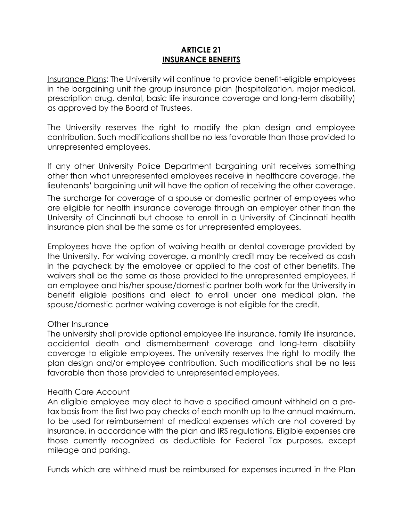#### **ARTICLE 21 INSURANCE BENEFITS**

Insurance Plans: The University will continue to provide benefit-eligible employees in the bargaining unit the group insurance plan (hospitalization, major medical, prescription drug, dental, basic life insurance coverage and long-term disability) as approved by the Board of Trustees.

The University reserves the right to modify the plan design and employee contribution. Such modifications shall be no less favorable than those provided to unrepresented employees.

If any other University Police Department bargaining unit receives something other than what unrepresented employees receive in healthcare coverage, the lieutenants' bargaining unit will have the option of receiving the other coverage.

The surcharge for coverage of a spouse or domestic partner of employees who are eligible for health insurance coverage through an employer other than the University of Cincinnati but choose to enroll in a University of Cincinnati health insurance plan shall be the same as for unrepresented employees.

Employees have the option of waiving health or dental coverage provided by the University. For waiving coverage, a monthly credit may be received as cash in the paycheck by the employee or applied to the cost of other benefits. The waivers shall be the same as those provided to the unrepresented employees. If an employee and his/her spouse/domestic partner both work for the University in benefit eligible positions and elect to enroll under one medical plan, the spouse/domestic partner waiving coverage is not eligible for the credit.

# Other Insurance

The university shall provide optional employee life insurance, family life insurance, accidental death and dismemberment coverage and long-term disability coverage to eligible employees. The university reserves the right to modify the plan design and/or employee contribution. Such modifications shall be no less favorable than those provided to unrepresented employees.

# Health Care Account

An eligible employee may elect to have a specified amount withheld on a pretax basis from the first two pay checks of each month up to the annual maximum, to be used for reimbursement of medical expenses which are not covered by insurance, in accordance with the plan and IRS regulations. Eligible expenses are those currently recognized as deductible for Federal Tax purposes, except mileage and parking.

Funds which are withheld must be reimbursed for expenses incurred in the Plan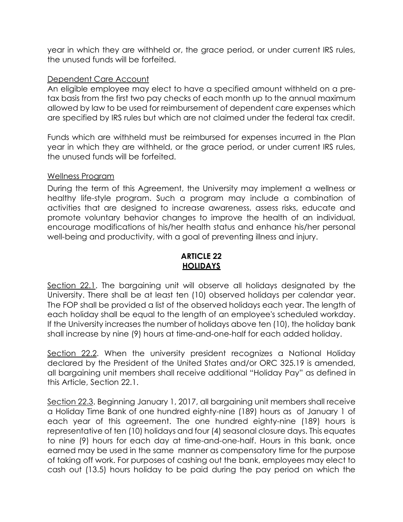year in which they are withheld or, the grace period, or under current IRS rules, the unused funds will be forfeited.

#### Dependent Care Account

An eligible employee may elect to have a specified amount withheld on a pretax basis from the first two pay checks of each month up to the annual maximum allowed by law to be used for reimbursement of dependent care expenses which are specified by IRS rules but which are not claimed under the federal tax credit.

Funds which are withheld must be reimbursed for expenses incurred in the Plan year in which they are withheld, or the grace period, or under current IRS rules, the unused funds will be forfeited.

#### Wellness Program

During the term of this Agreement, the University may implement a wellness or healthy life-style program. Such a program may include a combination of activities that are designed to increase awareness, assess risks, educate and promote voluntary behavior changes to improve the health of an individual, encourage modifications of his/her health status and enhance his/her personal well-being and productivity, with a goal of preventing illness and injury.

# **ARTICLE 22 HOLIDAYS**

Section 22.1. The bargaining unit will observe all holidays designated by the University. There shall be at least ten (10) observed holidays per calendar year. The FOP shall be provided a list of the observed holidays each year. The length of each holiday shall be equal to the length of an employee's scheduled workday. If the University increases the number of holidays above ten (10), the holiday bank shall increase by nine (9) hours at time-and-one-half for each added holiday.

Section 22.2. When the university president recognizes a National Holiday declared by the President of the United States and/or ORC 325.19 is amended, all bargaining unit members shall receive additional "Holiday Pay" as defined in this Article, Section 22.1.

Section 22.3. Beginning January 1, 2017, all bargaining unit members shall receive a Holiday Time Bank of one hundred eighty-nine (189) hours as of January 1 of each year of this agreement. The one hundred eighty-nine (189) hours is representative of ten (10) holidays and four (4) seasonal closure days. This equates to nine (9) hours for each day at time-and-one-half. Hours in this bank, once earned may be used in the same manner as compensatory time for the purpose of taking off work. For purposes of cashing out the bank, employees may elect to cash out (13.5) hours holiday to be paid during the pay period on which the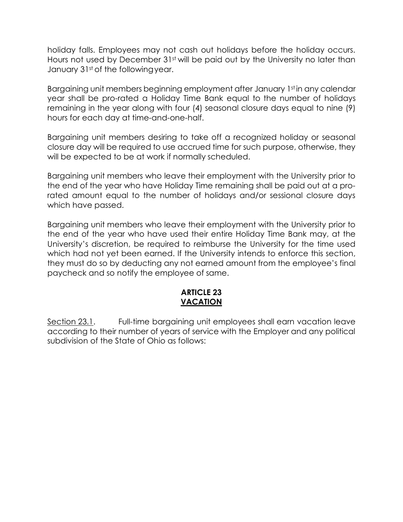holiday falls. Employees may not cash out holidays before the holiday occurs. Hours not used by December 31<sup>st</sup> will be paid out by the University no later than January 31st of the following year.

Bargaining unit members beginning employment after January 1st in any calendar year shall be pro-rated a Holiday Time Bank equal to the number of holidays remaining in the year along with four (4) seasonal closure days equal to nine (9) hours for each day at time-and-one-half.

Bargaining unit members desiring to take off a recognized holiday or seasonal closure day will be required to use accrued time for such purpose, otherwise, they will be expected to be at work if normally scheduled.

Bargaining unit members who leave their employment with the University prior to the end of the year who have Holiday Time remaining shall be paid out at a prorated amount equal to the number of holidays and/or sessional closure days which have passed.

Bargaining unit members who leave their employment with the University prior to the end of the year who have used their entire Holiday Time Bank may, at the University's discretion, be required to reimburse the University for the time used which had not yet been earned. If the University intends to enforce this section, they must do so by deducting any not earned amount from the employee's final paycheck and so notify the employee of same.

#### **ARTICLE 23 VACATION**

Section 23.1. Full-time bargaining unit employees shall earn vacation leave according to their number of years of service with the Employer and any political subdivision of the State of Ohio as follows: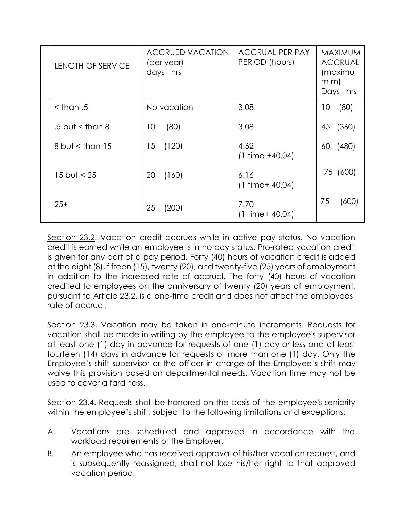| LENGTH OF SERVICE | <b>ACCRUED VACATION</b><br>(per year)<br>days hrs | <b>ACCRUAL PER PAY</b><br>PERIOD (hours) | <b>MAXIMUM</b><br><b>ACCRUAL</b><br>(maximu<br>$m \, m$<br>Days hrs |
|-------------------|---------------------------------------------------|------------------------------------------|---------------------------------------------------------------------|
| $<$ than .5       | No vacation                                       | 3.08                                     | (80)<br>10                                                          |
| .5 but $<$ than 8 | (80)<br>10                                        | 3.08                                     | (360)<br>45                                                         |
| 8 but $<$ than 15 | 15<br>(120)                                       | 4.62<br>$(1 \text{ time } +40.04)$       | (480)<br>60                                                         |
| 15 but $< 25$     | 20<br>(160)                                       | 6.16<br>$(1 \text{ time} + 40.04)$       | 75 (600)                                                            |
| $25+$             | 25<br>(200)                                       | 7.70<br>$(1 \text{ time} + 40.04)$       | 75<br>(600)                                                         |

Section 23.2. Vacation credit accrues while in active pay status. No vacation credit is earned while an employee is in no pay status. Pro-rated vacation credit is given for any part of a pay period. Forty (40) hours of vacation credit is added at the eight (8), fifteen (15), twenty (20), and twenty-five (25) years of employment in addition to the increased rate of accrual. The forty (40) hours of vacation credited to employees on the anniversary of twenty (20) years of employment, pursuant to Article 23.2, is a one-time credit and does not affect the employees' rate of accrual.

Section 23.3. Vacation may be taken in one-minute increments. Requests for vacation shall be made in writing by the employee to the employee's supervisor at least one (1) day in advance for requests of one (1) day or less and at least fourteen (14) days in advance for requests of more than one (1) day. Only the Employee's shift supervisor or the officer in charge of the Employee's shift may waive this provision based on departmental needs. Vacation time may not be used to cover a tardiness.

Section 23.4. Requests shall be honored on the basis of the employee's seniority within the employee's shift, subject to the following limitations and exceptions:

- A. Vacations are scheduled and approved in accordance with the workload requirements of the Employer.
- B. An employee who has received approval of his/her vacation request, and is subsequently reassigned, shall not lose his/her right to that approved vacation period.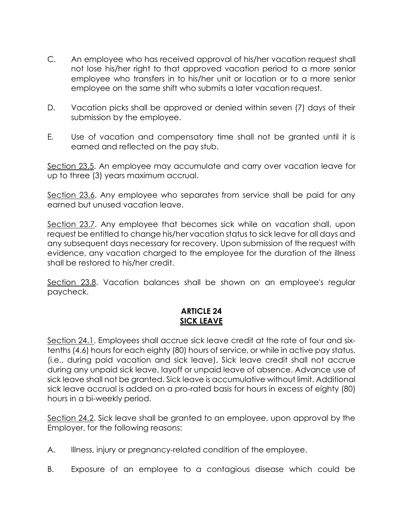- C. An employee who has received approval of his/her vacation request shall not lose his/her right to that approved vacation period to a more senior employee who transfers in to his/her unit or location or to a more senior employee on the same shift who submits a later vacation request.
- D. Vacation picks shall be approved or denied within seven (7) days of their submission by the employee.
- E. Use of vacation and compensatory time shall not be granted until it is earned and reflected on the pay stub.

Section 23.5. An employee may accumulate and carry over vacation leave for up to three (3) years maximum accrual.

Section 23.6. Any employee who separates from service shall be paid for any earned but unused vacation leave.

Section 23.7. Any employee that becomes sick while on vacation shall, upon request be entitled to change his/her vacation status to sick leave for all days and any subsequent days necessary for recovery. Upon submission of the request with evidence, any vacation charged to the employee for the duration of the illness shall be restored to his/her credit.

Section 23.8. Vacation balances shall be shown on an employee's regular paycheck.

#### **ARTICLE 24 SICK LEAVE**

Section 24.1. Employees shall accrue sick leave credit at the rate of four and sixtenths (4.6) hours for each eighty (80) hours of service, or while in active pay status, (i.e., during paid vacation and sick leave). Sick leave credit shall not accrue during any unpaid sick leave, layoff or unpaid leave of absence. Advance use of sick leave shall not be granted. Sick leave is accumulative without limit. Additional sick leave accrual is added on a pro-rated basis for hours in excess of eighty (80) hours in a bi-weekly period.

Section 24.2. Sick leave shall be granted to an employee, upon approval by the Employer, for the following reasons:

- A. **Illness, injury or pregnancy-related condition of the employee.**
- B. Exposure of an employee to a contagious disease which could be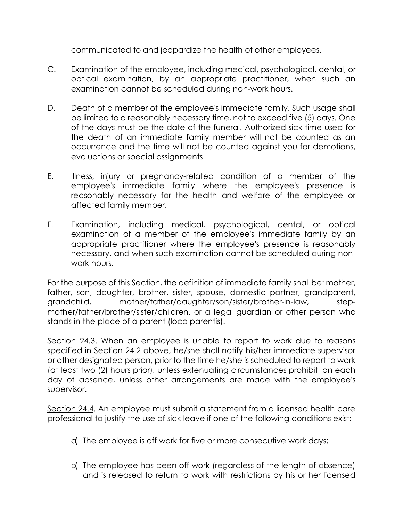communicated to and jeopardize the health of other employees.

- C. Examination of the employee, including medical, psychological, dental, or optical examination, by an appropriate practitioner, when such an examination cannot be scheduled during non-work hours.
- D. Death of a member of the employee's immediate family. Such usage shall be limited to a reasonably necessary time, not to exceed five (5) days. One of the days must be the date of the funeral. Authorized sick time used for the death of an immediate family member will not be counted as an occurrence and the time will not be counted against you for demotions, evaluations or special assignments.
- E. Illness, injury or pregnancy-related condition of a member of the employee's immediate family where the employee's presence is reasonably necessary for the health and welfare of the employee or affected family member.
- F. Examination, including medical, psychological, dental, or optical examination of a member of the employee's immediate family by an appropriate practitioner where the employee's presence is reasonably necessary, and when such examination cannot be scheduled during nonwork hours.

For the purpose of this Section, the definition of immediate family shall be: mother, father, son, daughter, brother, sister, spouse, domestic partner, grandparent, grandchild, mother/father/daughter/son/sister/brother-in-law, stepmother/father/brother/sister/children, or a legal guardian or other person who stands in the place of a parent (loco parentis).

Section 24.3. When an employee is unable to report to work due to reasons specified in Section 24.2 above, he/she shall notify his/her immediate supervisor or other designated person, prior to the time he/she is scheduled to report to work (at least two (2) hours prior), unless extenuating circumstances prohibit, on each day of absence, unless other arrangements are made with the employee's supervisor.

Section 24.4. An employee must submit a statement from a licensed health care professional to justify the use of sick leave if one of the following conditions exist:

- a) The employee is off work for five or more consecutive work days;
- b) The employee has been off work (regardless of the length of absence) and is released to return to work with restrictions by his or her licensed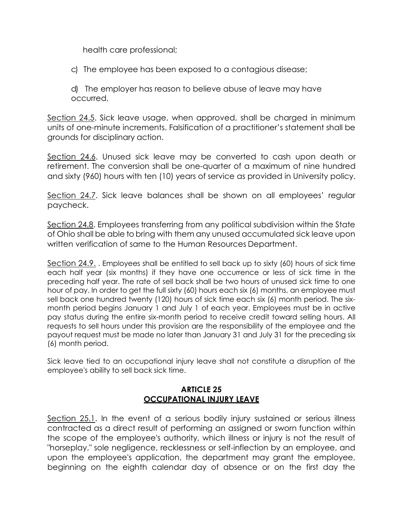health care professional;

c) The employee has been exposed to a contagious disease;

d) The employer has reason to believe abuse of leave may have occurred.

Section 24.5. Sick leave usage, when approved, shall be charged in minimum units of one-minute increments. Falsification of a practitioner's statement shall be grounds for disciplinary action.

Section 24.6. Unused sick leave may be converted to cash upon death or retirement. The conversion shall be one-quarter of a maximum of nine hundred and sixty (960) hours with ten (10) years of service as provided in University policy.

Section 24.7. Sick leave balances shall be shown on all employees' regular paycheck.

Section 24.8. Employees transferring from any political subdivision within the State of Ohio shall be able to bring with them any unused accumulated sick leave upon written verification of same to the Human Resources Department.

Section 24.9. . Employees shall be entitled to sell back up to sixty (60) hours of sick time each half year (six months) if they have one occurrence or less of sick time in the preceding half year. The rate of sell back shall be two hours of unused sick time to one hour of pay. In order to get the full sixty (60) hours each six (6) months, an employee must sell back one hundred twenty (120) hours of sick time each six (6) month period. The sixmonth period begins January 1 and July 1 of each year. Employees must be in active pay status during the entire six-month period to receive credit toward selling hours. All requests to sell hours under this provision are the responsibility of the employee and the payout request must be made no later than January 31 and July 31 for the preceding six (6) month period.

Sick leave tied to an occupational injury leave shall not constitute a disruption of the employee's ability to sell back sick time.

# **ARTICLE 25 OCCUPATIONAL INJURY LEAVE**

Section 25.1. In the event of a serious bodily injury sustained or serious illness contracted as a direct result of performing an assigned or sworn function within the scope of the employee's authority, which illness or injury is not the result of "horseplay," sole negligence, recklessness or self-inflection by an employee, and upon the employee's application, the department may grant the employee, beginning on the eighth calendar day of absence or on the first day the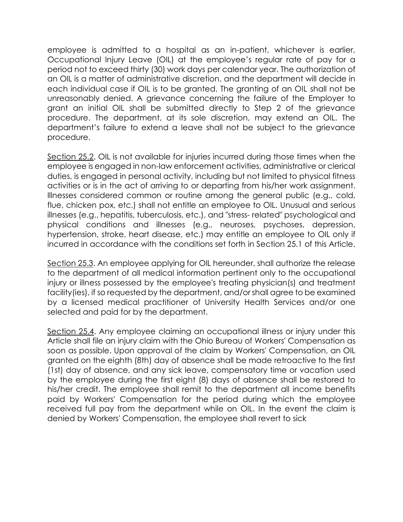employee is admitted to a hospital as an in-patient, whichever is earlier, Occupational Injury Leave (OIL) at the employee's regular rate of pay for a period not to exceed thirty (30) work days per calendar year. The authorization of an OIL is a matter of administrative discretion, and the department will decide in each individual case if OIL is to be granted. The granting of an OIL shall not be unreasonably denied. A grievance concerning the failure of the Employer to grant an initial OIL shall be submitted directly to Step 2 of the grievance procedure. The department, at its sole discretion, may extend an OIL. The department's failure to extend a leave shall not be subject to the grievance procedure.

Section 25.2. OIL is not available for injuries incurred during those times when the employee is engaged in non-law enforcement activities, administrative or clerical duties, is engaged in personal activity, including but not limited to physical fitness activities or is in the act of arriving to or departing from his/her work assignment. Illnesses considered common or routine among the general public (e.g., cold, flue, chicken pox, etc.) shall not entitle an employee to OIL. Unusual and serious illnesses (e.g., hepatitis, tuberculosis, etc.), and "stress- related" psychological and physical conditions and illnesses (e.g., neuroses, psychoses, depression, hypertension, stroke, heart disease, etc.) may entitle an employee to OIL only if incurred in accordance with the conditions set forth in Section 25.1 of this Article.

Section 25.3. An employee applying for OIL hereunder, shall authorize the release to the department of all medical information pertinent only to the occupational injury or illness possessed by the employee's treating physician(s) and treatment facility(ies), if so requested by the department, and/or shall agree to be examined by a licensed medical practitioner of University Health Services and/or one selected and paid for by the department.

Section 25.4. Any employee claiming an occupational illness or injury under this Article shall file an injury claim with the Ohio Bureau of Workers' Compensation as soon as possible. Upon approval of the claim by Workers' Compensation, an OIL granted on the eighth (8th) day of absence shall be made retroactive to the first (1st) day of absence, and any sick leave, compensatory time or vacation used by the employee during the first eight (8) days of absence shall be restored to his/her credit. The employee shall remit to the department all income benefits paid by Workers' Compensation for the period during which the employee received full pay from the department while on OIL. In the event the claim is denied by Workers' Compensation, the employee shall revert to sick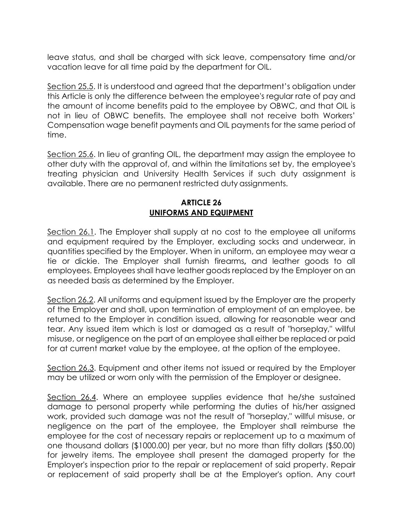leave status, and shall be charged with sick leave, compensatory time and/or vacation leave for all time paid by the department for OIL.

Section 25.5. It is understood and agreed that the department's obligation under this Article is only the difference between the employee's regular rate of pay and the amount of income benefits paid to the employee by OBWC, and that OIL is not in lieu of OBWC benefits. The employee shall not receive both Workers' Compensation wage benefit payments and OIL payments for the same period of time.

Section 25.6. In lieu of granting OIL, the department may assign the employee to other duty with the approval of, and within the limitations set by, the employee's treating physician and University Health Services if such duty assignment is available. There are no permanent restricted duty assignments.

## **ARTICLE 26 UNIFORMS AND EQUIPMENT**

Section 26.1. The Employer shall supply at no cost to the employee all uniforms and equipment required by the Employer, excluding socks and underwear, in quantities specified by the Employer. When in uniform, an employee may wear a tie or dickie. The Employer shall furnish firearms**,** and leather goods to all employees. Employees shall have leather goods replaced by the Employer on an as needed basis as determined by the Employer.

Section 26.2. All uniforms and equipment issued by the Employer are the property of the Employer and shall, upon termination of employment of an employee, be returned to the Employer in condition issued, allowing for reasonable wear and tear. Any issued item which is lost or damaged as a result of "horseplay," willful misuse, or negligence on the part of an employee shall either be replaced or paid for at current market value by the employee, at the option of the employee.

Section 26.3. Equipment and other items not issued or required by the Employer may be utilized or worn only with the permission of the Employer or designee.

Section 26.4. Where an employee supplies evidence that he/she sustained damage to personal property while performing the duties of his/her assigned work, provided such damage was not the result of "horseplay," willful misuse, or negligence on the part of the employee, the Employer shall reimburse the employee for the cost of necessary repairs or replacement up to a maximum of one thousand dollars (\$1000.00) per year, but no more than fifty dollars (\$50.00) for jewelry items. The employee shall present the damaged property for the Employer's inspection prior to the repair or replacement of said property. Repair or replacement of said property shall be at the Employer's option. Any court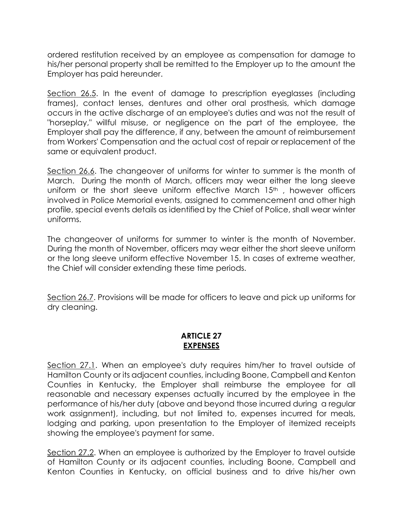ordered restitution received by an employee as compensation for damage to his/her personal property shall be remitted to the Employer up to the amount the Employer has paid hereunder.

Section 26.5. In the event of damage to prescription eyeglasses (including frames), contact lenses, dentures and other oral prosthesis, which damage occurs in the active discharge of an employee's duties and was not the result of "horseplay," willful misuse, or negligence on the part of the employee, the Employer shall pay the difference, if any, between the amount of reimbursement from Workers' Compensation and the actual cost of repair or replacement of the same or equivalent product.

Section 26.6. The changeover of uniforms for winter to summer is the month of March. During the month of March, officers may wear either the long sleeve uniform or the short sleeve uniform effective March  $15<sup>th</sup>$ , however officers involved in Police Memorial events, assigned to commencement and other high profile, special events details as identified by the Chief of Police, shall wear winter uniforms.

The changeover of uniforms for summer to winter is the month of November. During the month of November, officers may wear either the short sleeve uniform or the long sleeve uniform effective November 15. In cases of extreme weather, the Chief will consider extending these time periods.

Section 26.7. Provisions will be made for officers to leave and pick up uniforms for dry cleaning.

#### **ARTICLE 27 EXPENSES**

Section 27.1. When an employee's duty requires him/her to travel outside of Hamilton County or its adjacent counties, including Boone, Campbell and Kenton Counties in Kentucky, the Employer shall reimburse the employee for all reasonable and necessary expenses actually incurred by the employee in the performance of his/her duty (above and beyond those incurred during a regular work assignment), including, but not limited to, expenses incurred for meals, lodging and parking, upon presentation to the Employer of itemized receipts showing the employee's payment for same.

Section 27.2. When an employee is authorized by the Employer to travel outside of Hamilton County or its adjacent counties, including Boone, Campbell and Kenton Counties in Kentucky, on official business and to drive his/her own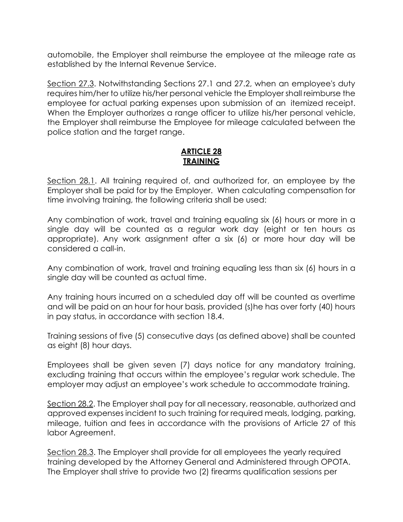automobile, the Employer shall reimburse the employee at the mileage rate as established by the Internal Revenue Service.

Section 27.3. Notwithstanding Sections 27.1 and 27.2, when an employee's duty requires him/her to utilize his/her personal vehicle the Employer shall reimburse the employee for actual parking expenses upon submission of an itemized receipt. When the Employer authorizes a range officer to utilize his/her personal vehicle, the Employer shall reimburse the Employee for mileage calculated between the police station and the target range.

## **ARTICLE 28 TRAINING**

Section 28.1. All training required of, and authorized for, an employee by the Employer shall be paid for by the Employer. When calculating compensation for time involving training, the following criteria shall be used:

Any combination of work, travel and training equaling six (6) hours or more in a single day will be counted as a regular work day (eight or ten hours as appropriate). Any work assignment after a six (6) or more hour day will be considered a call-in.

Any combination of work, travel and training equaling less than six (6) hours in a single day will be counted as actual time.

Any training hours incurred on a scheduled day off will be counted as overtime and will be paid on an hour for hour basis, provided (s)he has over forty (40) hours in pay status, in accordance with section 18.4.

Training sessions of five (5) consecutive days (as defined above) shall be counted as eight (8) hour days.

Employees shall be given seven (7) days notice for any mandatory training, excluding training that occurs within the employee's regular work schedule. The employer may adjust an employee's work schedule to accommodate training.

Section 28.2. The Employer shall pay for all necessary, reasonable, authorized and approved expenses incident to such training for required meals, lodging, parking, mileage, tuition and fees in accordance with the provisions of Article 27 of this labor Agreement.

Section 28.3. The Employer shall provide for all employees the yearly required training developed by the Attorney General and Administered through OPOTA. The Employer shall strive to provide two (2) firearms qualification sessions per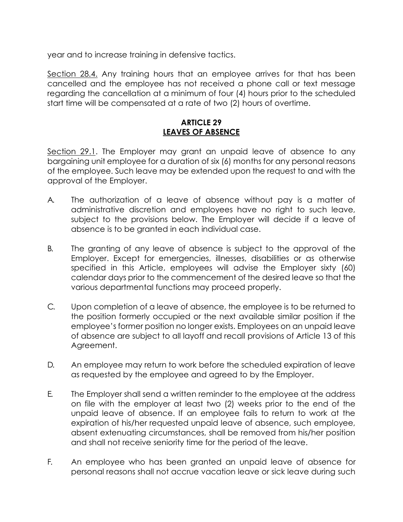year and to increase training in defensive tactics.

Section 28.4. Any training hours that an employee arrives for that has been cancelled and the employee has not received a phone call or text message regarding the cancellation at a minimum of four (4) hours prior to the scheduled start time will be compensated at a rate of two (2) hours of overtime.

# **ARTICLE 29 LEAVES OF ABSENCE**

Section 29.1. The Employer may grant an unpaid leave of absence to any bargaining unit employee for a duration of six (6) months for any personal reasons of the employee. Such leave may be extended upon the request to and with the approval of the Employer.

- A. The authorization of a leave of absence without pay is a matter of administrative discretion and employees have no right to such leave, subject to the provisions below. The Employer will decide if a leave of absence is to be granted in each individual case.
- B. The granting of any leave of absence is subject to the approval of the Employer. Except for emergencies, illnesses, disabilities or as otherwise specified in this Article, employees will advise the Employer sixty (60) calendar days prior to the commencement of the desired leave so that the various departmental functions may proceed properly.
- C. Upon completion of a leave of absence, the employee is to be returned to the position formerly occupied or the next available similar position if the employee's former position no longer exists. Employees on an unpaid leave of absence are subject to all layoff and recall provisions of Article 13 of this Agreement.
- D. An employee may return to work before the scheduled expiration of leave as requested by the employee and agreed to by the Employer.
- E. The Employer shall send a written reminder to the employee at the address on file with the employer at least two (2) weeks prior to the end of the unpaid leave of absence. If an employee fails to return to work at the expiration of his/her requested unpaid leave of absence, such employee, absent extenuating circumstances, shall be removed from his/her position and shall not receive seniority time for the period of the leave.
- F. An employee who has been granted an unpaid leave of absence for personal reasons shall not accrue vacation leave or sick leave during such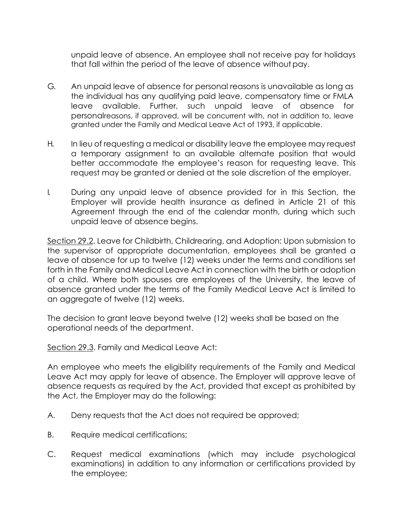unpaid leave of absence. An employee shall not receive pay for holidays that fall within the period of the leave of absence withoutpay.

- G. An unpaid leave of absence for personal reasons is unavailable as long as the individual has any qualifying paid leave, compensatory time or FMLA leave available. Further, such unpaid leave of absence for personalreasons, if approved, will be concurrent with, not in addition to, leave granted under the Family and Medical Leave Act of 1993, if applicable.
- H. In lieu of requesting a medical or disability leave the employee may request a temporary assignment to an available alternate position that would better accommodate the employee's reason for requesting leave. This request may be granted or denied at the sole discretion of the employer.
- I. During any unpaid leave of absence provided for in this Section, the Employer will provide health insurance as defined in Article 21 of this Agreement through the end of the calendar month, during which such unpaid leave of absence begins.

Section 29.2. Leave for Childbirth, Childrearing, and Adoption: Upon submission to the supervisor of appropriate documentation, employees shall be granted a leave of absence for up to twelve (12) weeks under the terms and conditions set forth in the Family and Medical Leave Act in connection with the birth or adoption of a child. Where both spouses are employees of the University, the leave of absence granted under the terms of the Family Medical Leave Act is limited to an aggregate of twelve (12) weeks.

The decision to grant leave beyond twelve (12) weeks shall be based on the operational needs of the department.

Section 29.3. Family and Medical Leave Act:

An employee who meets the eligibility requirements of the Family and Medical Leave Act may apply for leave of absence. The Employer will approve leave of absence requests as required by the Act, provided that except as prohibited by the Act, the Employer may do the following:

- A. Deny requests that the Act does not required be approved;
- B. Require medical certifications;
- C. Request medical examinations (which may include psychological examinations) in addition to any information or certifications provided by the employee;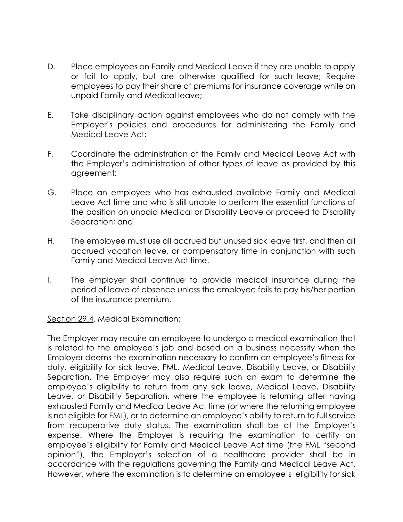- D. Place employees on Family and Medical Leave if they are unable to apply or fail to apply, but are otherwise qualified for such leave; Require employees to pay their share of premiums for insurance coverage while on unpaid Family and Medical leave;
- E. Take disciplinary action against employees who do not comply with the Employer's policies and procedures for administering the Family and Medical Leave Act;
- F. Coordinate the administration of the Family and Medical Leave Act with the Employer's administration of other types of leave as provided by this agreement;
- G. Place an employee who has exhausted available Family and Medical Leave Act time and who is still unable to perform the essential functions of the position on unpaid Medical or Disability Leave or proceed to Disability Separation; and
- H. The employee must use all accrued but unused sick leave first, and then all accrued vacation leave, or compensatory time in conjunction with such Family and Medical Leave Act time.
- I. The employer shall continue to provide medical insurance during the period of leave of absence unless the employee fails to pay his/her portion of the insurance premium.

Section 29.4. Medical Examination:

The Employer may require an employee to undergo a medical examination that is related to the employee's job and based on a business necessity when the Employer deems the examination necessary to confirm an employee's fitness for duty, eligibility for sick leave, FML, Medical Leave, Disability Leave, or Disability Separation. The Employer may also require such an exam to determine the employee's eligibility to return from any sick leave, Medical Leave, Disability Leave, or Disability Separation, where the employee is returning after having exhausted Family and Medical Leave Act time (or where the returning employee is not eligible for FML), or to determine an employee's ability to return to full service from recuperative duty status. The examination shall be at the Employer's expense. Where the Employer is requiring the examination to certify an employee's eligibility for Family and Medical Leave Act time (the FML "second opinion"), the Employer's selection of a healthcare provider shall be in accordance with the regulations governing the Family and Medical Leave Act. However, where the examination is to determine an employee's eligibility for sick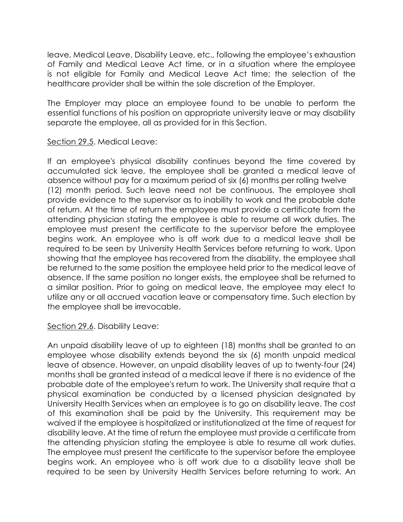leave, Medical Leave, Disability Leave, etc., following the employee's exhaustion of Family and Medical Leave Act time, or in a situation where the employee is not eligible for Family and Medical Leave Act time; the selection of the healthcare provider shall be within the sole discretion of the Employer.

The Employer may place an employee found to be unable to perform the essential functions of his position on appropriate university leave or may disability separate the employee, all as provided for in this Section.

#### Section 29.5. Medical Leave:

If an employee's physical disability continues beyond the time covered by accumulated sick leave, the employee shall be granted a medical leave of absence without pay for a maximum period of six (6) months per rolling twelve (12) month period. Such leave need not be continuous. The employee shall provide evidence to the supervisor as to inability to work and the probable date of return. At the time of return the employee must provide a certificate from the attending physician stating the employee is able to resume all work duties. The employee must present the certificate to the supervisor before the employee begins work. An employee who is off work due to a medical leave shall be required to be seen by University Health Services before returning to work. Upon showing that the employee has recovered from the disability, the employee shall be returned to the same position the employee held prior to the medical leave of absence. If the same position no longer exists, the employee shall be returned to a similar position. Prior to going on medical leave, the employee may elect to utilize any or all accrued vacation leave or compensatory time. Such election by the employee shall be irrevocable.

#### Section 29.6. Disability Leave:

An unpaid disability leave of up to eighteen (18) months shall be granted to an employee whose disability extends beyond the six (6) month unpaid medical leave of absence. However, an unpaid disability leaves of up to twenty-four (24) months shall be granted instead of a medical leave if there is no evidence of the probable date of the employee's return to work. The University shall require that a physical examination be conducted by a licensed physician designated by University Health Services when an employee is to go on disability leave. The cost of this examination shall be paid by the University. This requirement may be waived if the employee is hospitalized or institutionalized at the time of request for disability leave. At the time of return the employee must provide a certificate from the attending physician stating the employee is able to resume all work duties. The employee must present the certificate to the supervisor before the employee begins work. An employee who is off work due to a disability leave shall be required to be seen by University Health Services before returning to work. An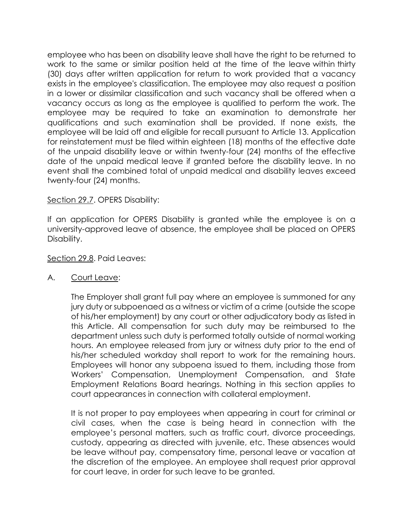employee who has been on disability leave shall have the right to be returned to work to the same or similar position held at the time of the leave within thirty (30) days after written application for return to work provided that a vacancy exists in the employee's classification. The employee may also request a position in a lower or dissimilar classification and such vacancy shall be offered when a vacancy occurs as long as the employee is qualified to perform the work. The employee may be required to take an examination to demonstrate her qualifications and such examination shall be provided. If none exists, the employee will be laid off and eligible for recall pursuant to Article 13. Application for reinstatement must be filed within eighteen (18) months of the effective date of the unpaid disability leave or within twenty-four (24) months of the effective date of the unpaid medical leave if granted before the disability leave. In no event shall the combined total of unpaid medical and disability leaves exceed twenty-four (24) months.

# Section 29.7. OPERS Disability:

If an application for OPERS Disability is granted while the employee is on a university-approved leave of absence, the employee shall be placed on OPERS Disability.

#### Section 29.8. Paid Leaves:

#### A. Court Leave:

The Employer shall grant full pay where an employee is summoned for any jury duty or subpoenaed as a witness or victim of a crime (outside the scope of his/her employment) by any court or other adjudicatory body as listed in this Article. All compensation for such duty may be reimbursed to the department unless such duty is performed totally outside of normal working hours. An employee released from jury or witness duty prior to the end of his/her scheduled workday shall report to work for the remaining hours. Employees will honor any subpoena issued to them, including those from Workers' Compensation, Unemployment Compensation, and State Employment Relations Board hearings. Nothing in this section applies to court appearances in connection with collateral employment.

It is not proper to pay employees when appearing in court for criminal or civil cases, when the case is being heard in connection with the employee's personal matters, such as traffic court, divorce proceedings, custody, appearing as directed with juvenile, etc. These absences would be leave without pay, compensatory time, personal leave or vacation at the discretion of the employee. An employee shall request prior approval for court leave, in order for such leave to be granted.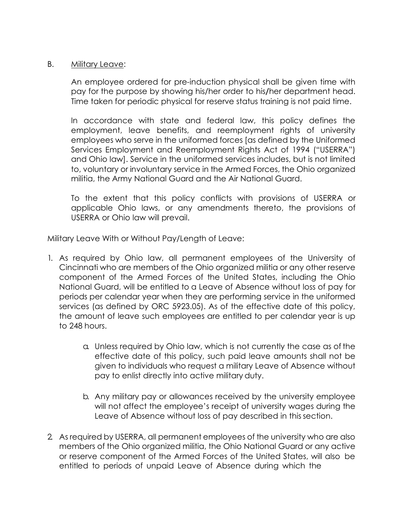#### B. Military Leave:

An employee ordered for pre-induction physical shall be given time with pay for the purpose by showing his/her order to his**/**her department head. Time taken for periodic physical for reserve status training is not paid time.

In accordance with state and federal law, this policy defines the employment, leave benefits, and reemployment rights of university employees who serve in the uniformed forces [as defined by the Uniformed Services Employment and Reemployment Rights Act of 1994 ("USERRA") and Ohio law]. Service in the uniformed services includes, but is not limited to, voluntary or involuntary service in the Armed Forces, the Ohio organized militia, the Army National Guard and the Air National Guard.

To the extent that this policy conflicts with provisions of USERRA or applicable Ohio laws, or any amendments thereto, the provisions of USERRA or Ohio law will prevail.

Military Leave With or Without Pay/Length of Leave:

- 1. As required by Ohio law, all permanent employees of the University of Cincinnati who are members of the Ohio organized militia or any other reserve component of the Armed Forces of the United States, including the Ohio National Guard, will be entitled to a Leave of Absence without loss of pay for periods per calendar year when they are performing service in the uniformed services (as defined by ORC 5923.05). As of the effective date of this policy, the amount of leave such employees are entitled to per calendar year is up to 248 hours.
	- a. Unless required by Ohio law, which is not currently the case as of the effective date of this policy, such paid leave amounts shall not be given to individuals who request a military Leave of Absence without pay to enlist directly into active military duty.
	- b. Any military pay or allowances received by the university employee will not affect the employee's receipt of university wages during the Leave of Absence without loss of pay described in this section.
- 2. As required by USERRA, all permanent employees of the university who are also members of the Ohio organized militia, the Ohio National Guard or any active or reserve component of the Armed Forces of the United States, will also be entitled to periods of unpaid Leave of Absence during which the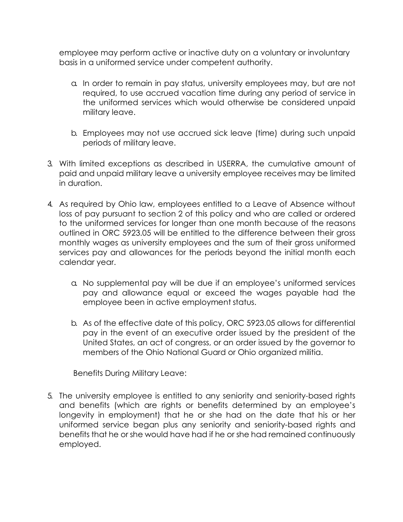employee may perform active or inactive duty on a voluntary or involuntary basis in a uniformed service under competent authority.

- a. In order to remain in pay status, university employees may, but are not required, to use accrued vacation time during any period of service in the uniformed services which would otherwise be considered unpaid military leave.
- b. Employees may not use accrued sick leave (time) during such unpaid periods of military leave.
- 3. With limited exceptions as described in USERRA, the cumulative amount of paid and unpaid military leave a university employee receives may be limited in duration.
- 4. As required by Ohio law, employees entitled to a Leave of Absence without loss of pay pursuant to section 2 of this policy and who are called or ordered to the uniformed services for longer than one month because of the reasons outlined in ORC 5923.05 will be entitled to the difference between their gross monthly wages as university employees and the sum of their gross uniformed services pay and allowances for the periods beyond the initial month each calendar year.
	- a. No supplemental pay will be due if an employee's uniformed services pay and allowance equal or exceed the wages payable had the employee been in active employment status.
	- b. As of the effective date of this policy, ORC 5923.05 allows for differential pay in the event of an executive order issued by the president of the United States, an act of congress, or an order issued by the governor to members of the Ohio National Guard or Ohio organized militia.

Benefits During Military Leave:

5. The university employee is entitled to any seniority and seniority-based rights and benefits (which are rights or benefits determined by an employee's longevity in employment) that he or she had on the date that his or her uniformed service began plus any seniority and seniority-based rights and benefits that he or she would have had if he or she had remained continuously employed.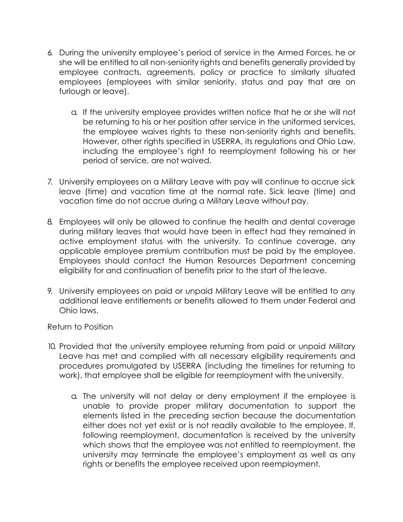- 6. During the university employee's period of service in the Armed Forces, he or she will be entitled to all non-seniority rights and benefits generally provided by employee contracts, agreements, policy or practice to similarly situated employees (employees with similar seniority, status and pay that are on furlough or leave).
	- a. If the university employee provides written notice that he or she will not be returning to his or her position after service in the uniformed services, the employee waives rights to these non-seniority rights and benefits. However, other rights specified in USERRA, its regulations and Ohio Law, including the employee's right to reemployment following his or her period of service, are not waived.
- 7. University employees on a Military Leave with pay will continue to accrue sick leave (time) and vacation time at the normal rate. Sick leave (time) and vacation time do not accrue during a Military Leave without pay.
- 8. Employees will only be allowed to continue the health and dental coverage during military leaves that would have been in effect had they remained in active employment status with the university. To continue coverage, any applicable employee premium contribution must be paid by the employee. Employees should contact the Human Resources Department concerning eligibility for and continuation of benefits prior to the start of the leave.
- 9. University employees on paid or unpaid Military Leave will be entitled to any additional leave entitlements or benefits allowed to them under Federal and Ohio laws.

Return to Position

- 10. Provided that the university employee returning from paid or unpaid Military Leave has met and complied with all necessary eligibility requirements and procedures promulgated by USERRA (including the timelines for returning to work), that employee shall be eligible for reemployment with the university.
	- a. The university will not delay or deny employment if the employee is unable to provide proper military documentation to support the elements listed in the preceding section because the documentation either does not yet exist or is not readily available to the employee. If, following reemployment, documentation is received by the university which shows that the employee was not entitled to reemployment, the university may terminate the employee's employment as well as any rights or benefits the employee received upon reemployment.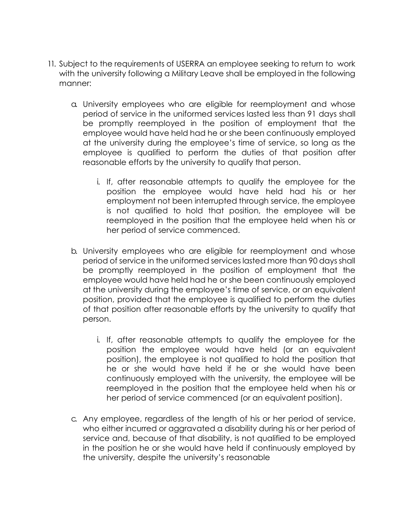- 11. Subject to the requirements of USERRA an employee seeking to return to work with the university following a Military Leave shall be employed in the following manner:
	- a. University employees who are eligible for reemployment and whose period of service in the uniformed services lasted less than 91 days shall be promptly reemployed in the position of employment that the employee would have held had he or she been continuously employed at the university during the employee's time of service, so long as the employee is qualified to perform the duties of that position after reasonable efforts by the university to qualify that person.
		- i. If, after reasonable attempts to qualify the employee for the position the employee would have held had his or her employment not been interrupted through service, the employee is not qualified to hold that position, the employee will be reemployed in the position that the employee held when his or her period of service commenced.
	- b. University employees who are eligible for reemployment and whose period of service in the uniformed services lasted more than 90 days shall be promptly reemployed in the position of employment that the employee would have held had he or she been continuously employed at the university during the employee's time of service, or an equivalent position, provided that the employee is qualified to perform the duties of that position after reasonable efforts by the university to qualify that person.
		- i. If, after reasonable attempts to qualify the employee for the position the employee would have held (or an equivalent position), the employee is not qualified to hold the position that he or she would have held if he or she would have been continuously employed with the university, the employee will be reemployed in the position that the employee held when his or her period of service commenced (or an equivalent position).
	- c. Any employee, regardless of the length of his or her period of service, who either incurred or aggravated a disability during his or her period of service and, because of that disability, is not qualified to be employed in the position he or she would have held if continuously employed by the university, despite the university's reasonable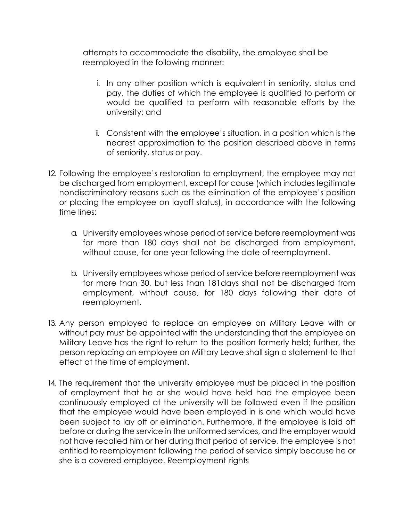attempts to accommodate the disability, the employee shall be reemployed in the following manner:

- i. In any other position which is equivalent in seniority, status and pay, the duties of which the employee is qualified to perform or would be qualified to perform with reasonable efforts by the university; and
- ii. Consistent with the employee's situation, in a position which is the nearest approximation to the position described above in terms of seniority, status or pay.
- 12. Following the employee's restoration to employment, the employee may not be discharged from employment, except for cause (which includes legitimate nondiscriminatory reasons such as the elimination of the employee's position or placing the employee on layoff status), in accordance with the following time lines:
	- a. University employees whose period of service before reemployment was for more than 180 days shall not be discharged from employment, without cause, for one year following the date of reemployment.
	- b. University employees whose period of service before reemployment was for more than 30, but less than 181days shall not be discharged from employment, without cause, for 180 days following their date of reemployment.
- 13. Any person employed to replace an employee on Military Leave with or without pay must be appointed with the understanding that the employee on Military Leave has the right to return to the position formerly held; further, the person replacing an employee on Military Leave shall sign a statement to that effect at the time of employment.
- 14. The requirement that the university employee must be placed in the position of employment that he or she would have held had the employee been continuously employed at the university will be followed even if the position that the employee would have been employed in is one which would have been subject to lay off or elimination. Furthermore, if the employee is laid off before or during the service in the uniformed services, and the employer would not have recalled him or her during that period of service, the employee is not entitled to reemployment following the period of service simply because he or she is a covered employee. Reemployment rights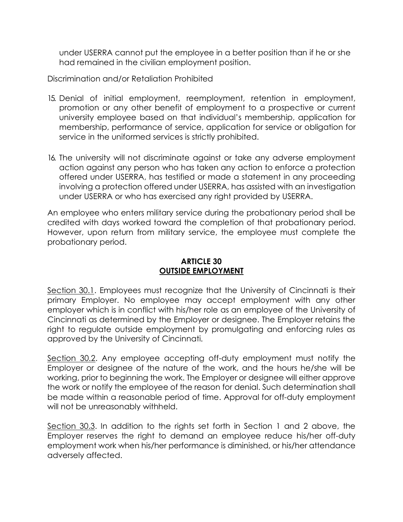under USERRA cannot put the employee in a better position than if he or she had remained in the civilian employment position.

Discrimination and/or Retaliation Prohibited

- 15. Denial of initial employment, reemployment, retention in employment, promotion or any other benefit of employment to a prospective or current university employee based on that individual's membership, application for membership, performance of service, application for service or obligation for service in the uniformed services is strictly prohibited.
- 16. The university will not discriminate against or take any adverse employment action against any person who has taken any action to enforce a protection offered under USERRA, has testified or made a statement in any proceeding involving a protection offered under USERRA, has assisted with an investigation under USERRA or who has exercised any right provided by USERRA.

An employee who enters military service during the probationary period shall be credited with days worked toward the completion of that probationary period. However, upon return from military service, the employee must complete the probationary period.

# **ARTICLE 30 OUTSIDE EMPLOYMENT**

Section 30.1. Employees must recognize that the University of Cincinnati is their primary Employer. No employee may accept employment with any other employer which is in conflict with his/her role as an employee of the University of Cincinnati as determined by the Employer or designee. The Employer retains the right to regulate outside employment by promulgating and enforcing rules as approved by the University of Cincinnati.

Section 30.2. Any employee accepting off-duty employment must notify the Employer or designee of the nature of the work, and the hours he/she will be working, prior to beginning the work. The Employer or designee will either approve the work or notify the employee of the reason for denial. Such determination shall be made within a reasonable period of time. Approval for off-duty employment will not be unreasonably withheld.

Section 30.3. In addition to the rights set forth in Section 1 and 2 above, the Employer reserves the right to demand an employee reduce his/her off-duty employment work when his/her performance is diminished, or his/her attendance adversely affected.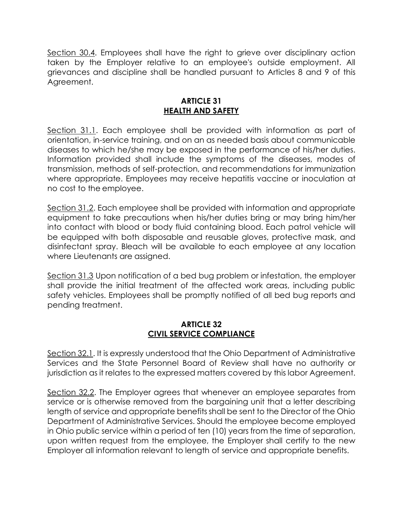Section 30.4. Employees shall have the right to grieve over disciplinary action taken by the Employer relative to an employee's outside employment. All grievances and discipline shall be handled pursuant to Articles 8 and 9 of this Agreement.

# **ARTICLE 31 HEALTH AND SAFETY**

Section 31.1. Each employee shall be provided with information as part of orientation, in-service training, and on an as needed basis about communicable diseases to which he/she may be exposed in the performance of his/her duties. Information provided shall include the symptoms of the diseases, modes of transmission, methods of self-protection, and recommendations for immunization where appropriate. Employees may receive hepatitis vaccine or inoculation at no cost to the employee.

Section 31.2. Each employee shall be provided with information and appropriate equipment to take precautions when his/her duties bring or may bring him/her into contact with blood or body fluid containing blood. Each patrol vehicle will be equipped with both disposable and reusable gloves, protective mask, and disinfectant spray. Bleach will be available to each employee at any location where Lieutenants are assigned.

Section 31.3 Upon notification of a bed bug problem or infestation, the employer shall provide the initial treatment of the affected work areas, including public safety vehicles. Employees shall be promptly notified of all bed bug reports and pending treatment.

# **ARTICLE 32 CIVIL SERVICE COMPLIANCE**

Section 32.1. It is expressly understood that the Ohio Department of Administrative Services and the State Personnel Board of Review shall have no authority or jurisdiction as it relates to the expressed matters covered by this labor Agreement.

Section 32.2. The Employer agrees that whenever an employee separates from service or is otherwise removed from the bargaining unit that a letter describing length of service and appropriate benefits shall be sent to the Director of the Ohio Department of Administrative Services. Should the employee become employed in Ohio public service within a period of ten (10) years from the time of separation, upon written request from the employee, the Employer shall certify to the new Employer all information relevant to length of service and appropriate benefits.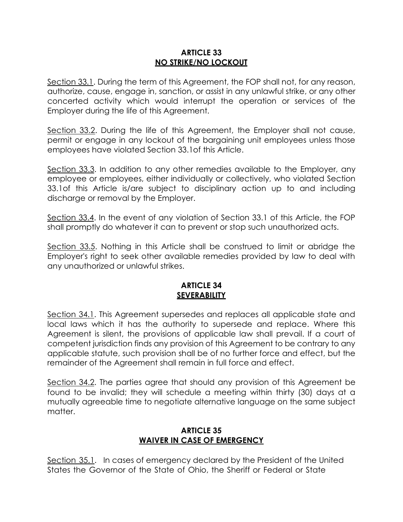#### **ARTICLE 33 NO STRIKE/NO LOCKOUT**

Section 33.1. During the term of this Agreement, the FOP shall not, for any reason, authorize, cause, engage in, sanction, or assist in any unlawful strike, or any other concerted activity which would interrupt the operation or services of the Employer during the life of this Agreement.

Section 33.2. During the life of this Agreement, the Employer shall not cause, permit or engage in any lockout of the bargaining unit employees unless those employees have violated Section 33.1of this Article.

Section 33.3. In addition to any other remedies available to the Employer, any employee or employees, either individually or collectively, who violated Section 33.1of this Article is/are subject to disciplinary action up to and including discharge or removal by the Employer.

Section 33.4. In the event of any violation of Section 33.1 of this Article, the FOP shall promptly do whatever it can to prevent or stop such unauthorized acts.

Section 33.5. Nothing in this Article shall be construed to limit or abridge the Employer's right to seek other available remedies provided by law to deal with any unauthorized or unlawful strikes.

# **ARTICLE 34 SEVERABILITY**

Section 34.1. This Agreement supersedes and replaces all applicable state and local laws which it has the authority to supersede and replace. Where this Agreement is silent, the provisions of applicable law shall prevail. If a court of competent jurisdiction finds any provision of this Agreement to be contrary to any applicable statute, such provision shall be of no further force and effect, but the remainder of the Agreement shall remain in full force and effect.

Section 34.2. The parties agree that should any provision of this Agreement be found to be invalid; they will schedule a meeting within thirty (30) days at a mutually agreeable time to negotiate alternative language on the same subject matter.

# **ARTICLE 35 WAIVER IN CASE OF EMERGENCY**

Section 35.1. In cases of emergency declared by the President of the United States the Governor of the State of Ohio, the Sheriff or Federal or State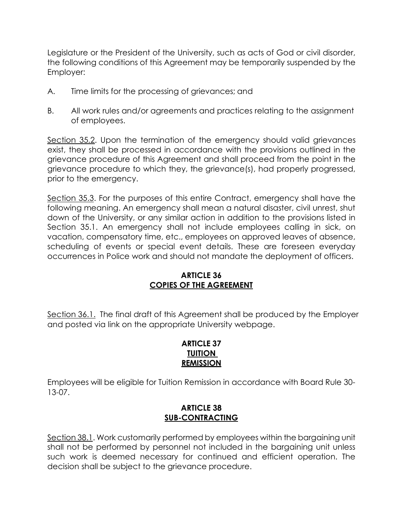Legislature or the President of the University, such as acts of God or civil disorder, the following conditions of this Agreement may be temporarily suspended by the Employer:

- A. Time limits for the processing of grievances; and
- B. All work rules and/or agreements and practices relating to the assignment of employees.

Section 35.2. Upon the termination of the emergency should valid grievances exist, they shall be processed in accordance with the provisions outlined in the grievance procedure of this Agreement and shall proceed from the point in the grievance procedure to which they, the grievance(s), had properly progressed, prior to the emergency.

Section 35.3. For the purposes of this entire Contract, emergency shall have the following meaning. An emergency shall mean a natural disaster, civil unrest, shut down of the University, or any similar action in addition to the provisions listed in Section 35.1. An emergency shall not include employees calling in sick, on vacation, compensatory time, etc., employees on approved leaves of absence, scheduling of events or special event details. These are foreseen everyday occurrences in Police work and should not mandate the deployment of officers.

# **ARTICLE 36 COPIES OF THE AGREEMENT**

Section 36.1. The final draft of this Agreement shall be produced by the Employer and posted via link on the appropriate University webpage.

### **ARTICLE 37 TUITION REMISSION**

Employees will be eligible for Tuition Remission in accordance with Board Rule 30- 13-07.

# **ARTICLE 38 SUB-CONTRACTING**

Section 38.1. Work customarily performed by employees within the bargaining unit shall not be performed by personnel not included in the bargaining unit unless such work is deemed necessary for continued and efficient operation. The decision shall be subject to the grievance procedure.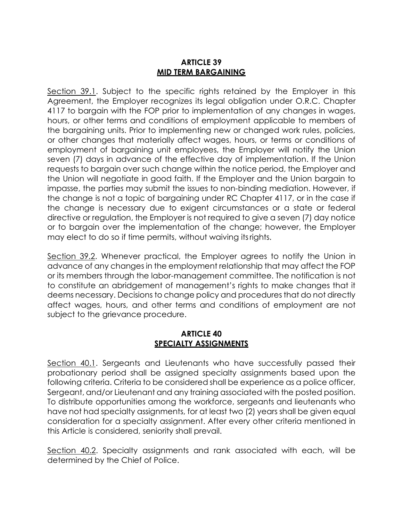# **ARTICLE 39 MID TERM BARGAINING**

Section 39.1. Subject to the specific rights retained by the Employer in this Agreement, the Employer recognizes its legal obligation under O.R.C. Chapter 4117 to bargain with the FOP prior to implementation of any changes in wages, hours, or other terms and conditions of employment applicable to members of the bargaining units. Prior to implementing new or changed work rules, policies, or other changes that materially affect wages, hours, or terms or conditions of employment of bargaining unit employees, the Employer will notify the Union seven (7) days in advance of the effective day of implementation. If the Union requests to bargain over such change within the notice period, the Employer and the Union will negotiate in good faith. If the Employer and the Union bargain to impasse, the parties may submit the issues to non-binding mediation. However, if the change is not a topic of bargaining under RC Chapter 4117, or in the case if the change is necessary due to exigent circumstances or a state or federal directive or regulation, the Employer is not required to give a seven (7) day notice or to bargain over the implementation of the change; however, the Employer may elect to do so if time permits, without waiving itsrights.

Section 39.2. Whenever practical, the Employer agrees to notify the Union in advance of any changes in the employment relationship that may affect the FOP or its members through the labor-management committee. The notification is not to constitute an abridgement of management's rights to make changes that it deems necessary. Decisions to change policy and procedures that do not directly affect wages, hours, and other terms and conditions of employment are not subject to the grievance procedure.

#### **ARTICLE 40 SPECIALTY ASSIGNMENTS**

Section 40.1. Sergeants and Lieutenants who have successfully passed their probationary period shall be assigned specialty assignments based upon the following criteria. Criteria to be considered shall be experience as a police officer, Sergeant, and/or Lieutenant and any training associated with the posted position. To distribute opportunities among the workforce, sergeants and lieutenants who have not had specialty assignments, for at least two (2) years shall be given equal consideration for a specialty assignment. After every other criteria mentioned in this Article is considered, seniority shall prevail.

Section 40.2. Specialty assignments and rank associated with each, will be determined by the Chief of Police.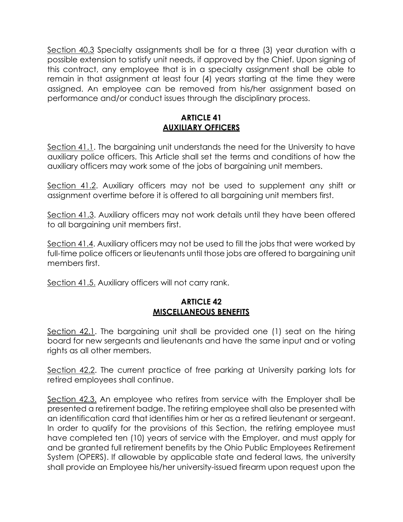Section 40.3 Specialty assignments shall be for a three (3) year duration with a possible extension to satisfy unit needs, if approved by the Chief. Upon signing of this contract, any employee that is in a specialty assignment shall be able to remain in that assignment at least four (4) years starting at the time they were assigned. An employee can be removed from his/her assignment based on performance and/or conduct issues through the disciplinary process.

# **ARTICLE 41 AUXILIARY OFFICERS**

Section 41.1. The bargaining unit understands the need for the University to have auxiliary police officers. This Article shall set the terms and conditions of how the auxiliary officers may work some of the jobs of bargaining unit members.

Section 41.2. Auxiliary officers may not be used to supplement any shift or assignment overtime before it is offered to all bargaining unit members first.

Section 41.3. Auxiliary officers may not work details until they have been offered to all bargaining unit members first.

Section 41.4. Auxiliary officers may not be used to fill the jobs that were worked by full-time police officers or lieutenants until those jobs are offered to bargaining unit members first.

Section 41.5. Auxiliary officers will not carry rank.

# **ARTICLE 42 MISCELLANEOUS BENEFITS**

Section 42.1. The bargaining unit shall be provided one (1) seat on the hiring board for new sergeants and lieutenants and have the same input and or voting rights as all other members.

Section 42.2. The current practice of free parking at University parking lots for retired employees shall continue.

Section 42.3. An employee who retires from service with the Employer shall be presented a retirement badge. The retiring employee shall also be presented with an identification card that identifies him or her as a retired lieutenant or sergeant. In order to qualify for the provisions of this Section, the retiring employee must have completed ten (10) years of service with the Employer, and must apply for and be granted full retirement benefits by the Ohio Public Employees Retirement System (OPERS). If allowable by applicable state and federal laws, the university shall provide an Employee his/her university-issued firearm upon request upon the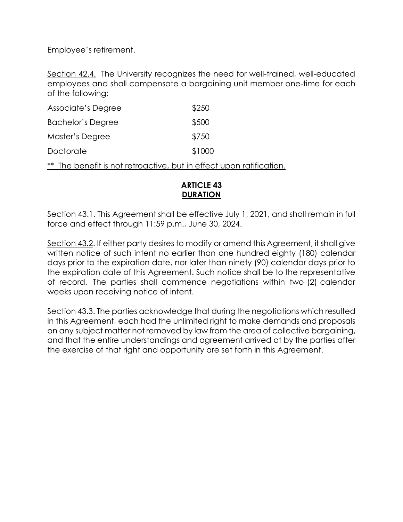Employee's retirement.

Section 42.4. The University recognizes the need for well-trained, well-educated employees and shall compensate a bargaining unit member one-time for each of the following:

| \$250  |
|--------|
| \$500  |
| \$750  |
| \$1000 |
|        |

\*\* The benefit is not retroactive, but in effect upon ratification.

# **ARTICLE 43 DURATION**

Section 43.1. This Agreement shall be effective July 1, 2021, and shall remain in full force and effect through 11:59 p.m., June 30, 2024.

Section 43.2. If either party desires to modify or amend this Agreement, it shall give written notice of such intent no earlier than one hundred eighty (180) calendar days prior to the expiration date, nor later than ninety (90) calendar days prior to the expiration date of this Agreement. Such notice shall be to the representative of record. The parties shall commence negotiations within two (2) calendar weeks upon receiving notice of intent.

Section 43.3. The parties acknowledge that during the negotiations which resulted in this Agreement, each had the unlimited right to make demands and proposals on any subject matter not removed by law from the area of collective bargaining, and that the entire understandings and agreement arrived at by the parties after the exercise of that right and opportunity are set forth in this Agreement.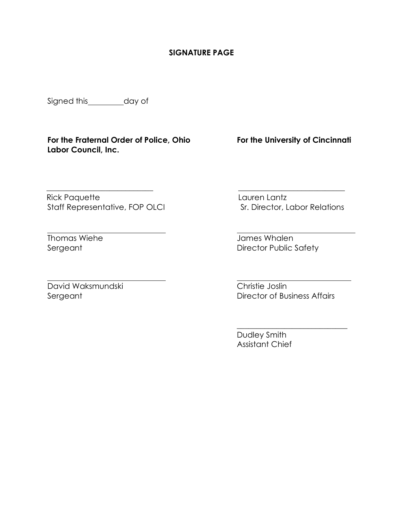#### **SIGNATURE PAGE**

 **\_\_\_\_\_\_\_\_\_\_\_\_\_\_\_\_\_\_\_\_\_\_\_\_\_\_\_ \_\_\_\_\_\_\_\_\_\_\_\_\_\_\_\_\_\_\_\_\_\_\_\_\_\_\_**

Signed this day of

**For the Fraternal Order of Police, Ohio For the University of Cincinnati Labor Council, Inc.**

 Rick PaquetteLauren Lantz Staff Representative, FOP OLCI Sr. Director, Labor Relations

David Waksmundski Christie Joslin

Thomas Wiehe James Whalen<br>Sergeant Director Public S Director Public Safety

Director of Business Affairs

 $\overline{\phantom{a}}$  , where  $\overline{\phantom{a}}$  , where  $\overline{\phantom{a}}$  ,  $\overline{\phantom{a}}$  ,  $\overline{\phantom{a}}$  ,  $\overline{\phantom{a}}$  ,  $\overline{\phantom{a}}$  ,  $\overline{\phantom{a}}$  ,  $\overline{\phantom{a}}$  ,  $\overline{\phantom{a}}$  ,  $\overline{\phantom{a}}$  ,  $\overline{\phantom{a}}$  ,  $\overline{\phantom{a}}$  ,  $\overline{\phantom{a}}$  ,  $\overline{\phantom{a}}$  ,

Dudley Smith Assistant Chief